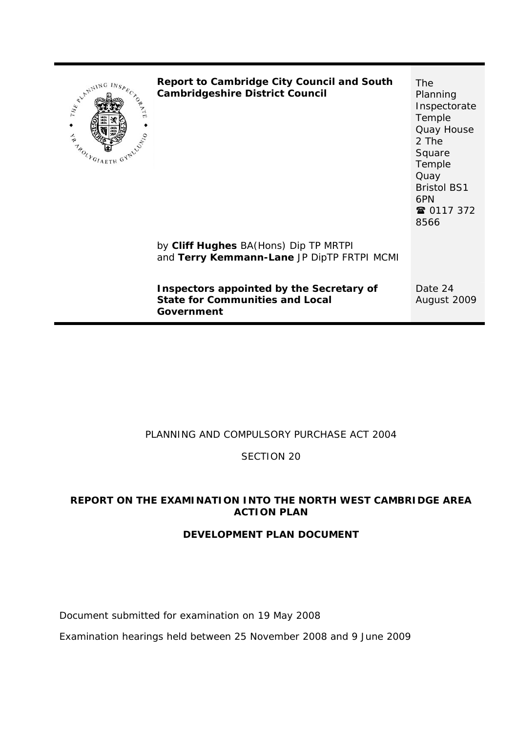

**Report to Cambridge City Council and South Cambridgeshire District Council**

The Planning Inspectorate Temple Quay House 2 The Square Temple **Quay** Bristol BS1 6PN ☎ 0117 372 8566

by **Cliff Hughes** BA(Hons) Dip TP MRTPI and **Terry Kemmann-Lane** JP DipTP FRTPI MCMI

**Inspectors appointed by the Secretary of State for Communities and Local Government** 

Date 24 August 2009

## PLANNING AND COMPULSORY PURCHASE ACT 2004

SECTION 20

## **REPORT ON THE EXAMINATION INTO THE NORTH WEST CAMBRIDGE AREA ACTION PLAN**

#### **DEVELOPMENT PLAN DOCUMENT**

Document submitted for examination on 19 May 2008

Examination hearings held between 25 November 2008 and 9 June 2009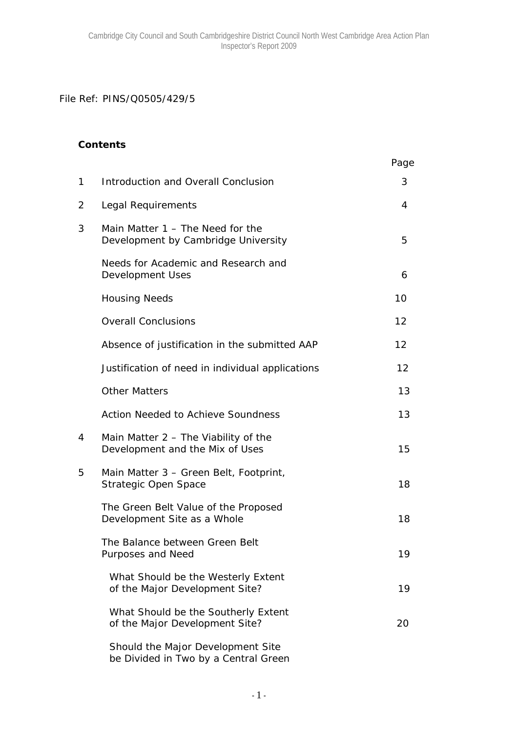File Ref: PINS/Q0505/429/5

#### **Contents**

|   |                                                                           | Page |
|---|---------------------------------------------------------------------------|------|
| 1 | Introduction and Overall Conclusion                                       | 3    |
| 2 | Legal Requirements                                                        | 4    |
| 3 | Main Matter 1 - The Need for the<br>Development by Cambridge University   | 5    |
|   | Needs for Academic and Research and<br><b>Development Uses</b>            | 6    |
|   | <b>Housing Needs</b>                                                      | 10   |
|   | <b>Overall Conclusions</b>                                                | 12   |
|   | Absence of justification in the submitted AAP                             | 12   |
|   | Justification of need in individual applications                          | 12   |
|   | <b>Other Matters</b>                                                      | 13   |
|   | <b>Action Needed to Achieve Soundness</b>                                 | 13   |
| 4 | Main Matter $2 -$ The Viability of the<br>Development and the Mix of Uses | 15   |
| 5 | Main Matter 3 - Green Belt, Footprint,<br>Strategic Open Space            | 18   |
|   | The Green Belt Value of the Proposed<br>Development Site as a Whole       | 18   |
|   | The Balance between Green Belt<br><b>Purposes and Need</b>                | 19   |
|   | What Should be the Westerly Extent<br>of the Major Development Site?      | 19   |
|   | What Should be the Southerly Extent<br>of the Major Development Site?     | 20   |
|   | Should the Major Development Site<br>be Divided in Two by a Central Green |      |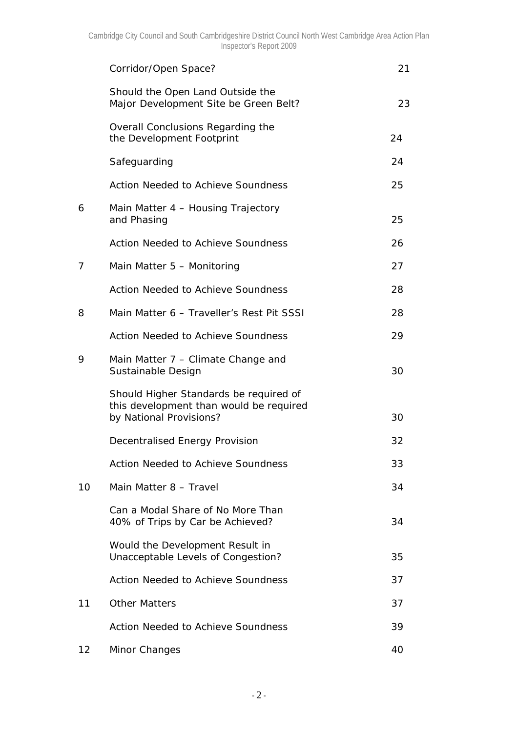|    | Corridor/Open Space?                                                                                         | 21 |
|----|--------------------------------------------------------------------------------------------------------------|----|
|    | Should the Open Land Outside the<br>Major Development Site be Green Belt?                                    | 23 |
|    | Overall Conclusions Regarding the<br>the Development Footprint                                               | 24 |
|    | Safeguarding                                                                                                 | 24 |
|    | <b>Action Needed to Achieve Soundness</b>                                                                    | 25 |
| 6  | Main Matter 4 - Housing Trajectory<br>and Phasing                                                            | 25 |
|    | <b>Action Needed to Achieve Soundness</b>                                                                    | 26 |
| 7  | Main Matter 5 - Monitoring                                                                                   | 27 |
|    | <b>Action Needed to Achieve Soundness</b>                                                                    | 28 |
| 8  | Main Matter 6 - Traveller's Rest Pit SSSI                                                                    | 28 |
|    | <b>Action Needed to Achieve Soundness</b>                                                                    | 29 |
| 9  | Main Matter 7 – Climate Change and<br>Sustainable Design                                                     | 30 |
|    | Should Higher Standards be required of<br>this development than would be required<br>by National Provisions? | 30 |
|    | <b>Decentralised Energy Provision</b>                                                                        | 32 |
|    | <b>Action Needed to Achieve Soundness</b>                                                                    | 33 |
| 10 | Main Matter 8 - Travel                                                                                       | 34 |
|    | Can a Modal Share of No More Than<br>40% of Trips by Car be Achieved?                                        | 34 |
|    | <b>Would the Development Result in</b><br>Unacceptable Levels of Congestion?                                 | 35 |
|    | <b>Action Needed to Achieve Soundness</b>                                                                    | 37 |
| 11 | <b>Other Matters</b>                                                                                         | 37 |
|    | <b>Action Needed to Achieve Soundness</b>                                                                    | 39 |
| 12 | Minor Changes                                                                                                | 40 |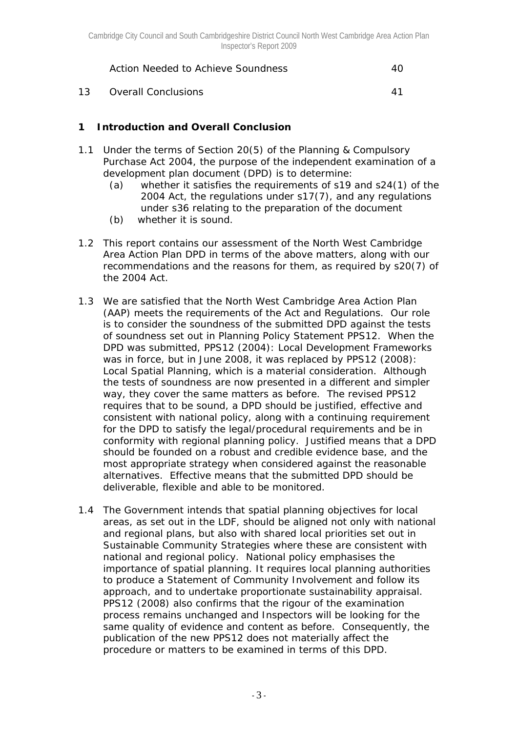*Action Needed to Achieve Soundness* 40

13 Overall Conclusions 41

# **1 Introduction and Overall Conclusion**

- 1.1 Under the terms of Section 20(5) of the Planning & Compulsory Purchase Act 2004, the purpose of the independent examination of a development plan document (DPD) is to determine:
	- (a) whether it satisfies the requirements of s19 and s24(1) of the 2004 Act, the regulations under s17(7), and any regulations under s36 relating to the preparation of the document
	- (b) whether it is sound.
- 1.2 This report contains our assessment of the North West Cambridge Area Action Plan DPD in terms of the above matters, along with our recommendations and the reasons for them, as required by s20(7) of the 2004 Act.
- 1.3 We are satisfied that the North West Cambridge Area Action Plan (AAP) meets the requirements of the Act and Regulations. Our role is to consider the soundness of the submitted DPD against the tests of soundness set out in Planning Policy Statement PPS12. When the DPD was submitted, PPS12 (2004): *Local Development Frameworks* was in force, but in June 2008, it was replaced by PPS12 (2008): *Local Spatial Planning*, which is a material consideration. Although the tests of soundness are now presented in a different and simpler way, they cover the same matters as before. The revised PPS12 requires that to be sound, a DPD should be justified, effective and consistent with national policy, along with a continuing requirement for the DPD to satisfy the legal/procedural requirements and be in conformity with regional planning policy. Justified means that a DPD should be founded on a robust and credible evidence base, and the most appropriate strategy when considered against the reasonable alternatives. Effective means that the submitted DPD should be deliverable, flexible and able to be monitored.
- 1.4 The Government intends that spatial planning objectives for local areas, as set out in the LDF, should be aligned not only with national and regional plans, but also with shared local priorities set out in Sustainable Community Strategies where these are consistent with national and regional policy. National policy emphasises the importance of spatial planning. It requires local planning authorities to produce a Statement of Community Involvement and follow its approach, and to undertake proportionate sustainability appraisal. PPS12 (2008) also confirms that the rigour of the examination process remains unchanged and Inspectors will be looking for the same quality of evidence and content as before. Consequently, the publication of the new PPS12 does not materially affect the procedure or matters to be examined in terms of this DPD.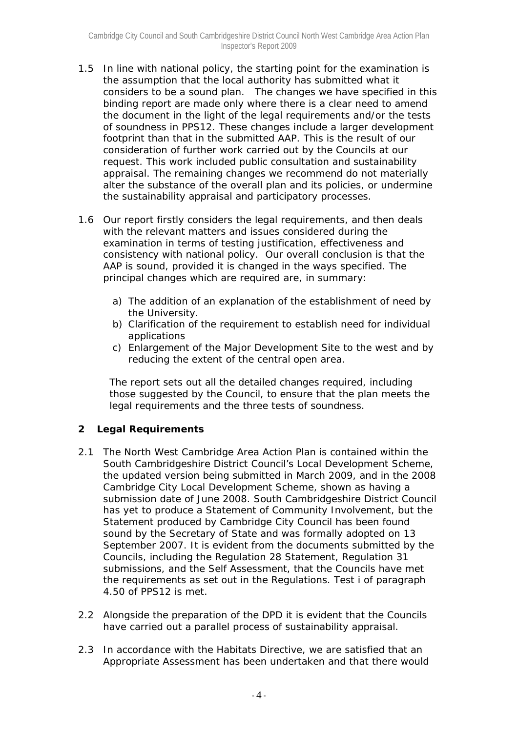- 1.5 In line with national policy, the starting point for the examination is the assumption that the local authority has submitted what it considers to be a sound plan. The changes we have specified in this binding report are made only where there is a clear need to amend the document in the light of the legal requirements and/or the tests of soundness in PPS12. These changes include a larger development footprint than that in the submitted AAP. This is the result of our consideration of further work carried out by the Councils at our request. This work included public consultation and sustainability appraisal. The remaining changes we recommend do not materially alter the substance of the overall plan and its policies, or undermine the sustainability appraisal and participatory processes.
- 1.6 Our report firstly considers the legal requirements, and then deals with the relevant matters and issues considered during the examination in terms of testing justification, effectiveness and consistency with national policy. Our overall conclusion is that the AAP is sound, provided it is changed in the ways specified. The principal changes which are required are, in summary:
	- *a) The addition of an explanation of the establishment of need by the University.*
	- *b) Clarification of the requirement to establish need for individual applications*
	- *c) Enlargement of the Major Development Site to the west and by reducing the extent of the central open area.*

The report sets out all the detailed changes required, including those suggested by the Council, to ensure that the plan meets the legal requirements and the three tests of soundness.

# **2 Legal Requirements**

- 2.1 The North West Cambridge Area Action Plan is contained within the South Cambridgeshire District Council's Local Development Scheme, the updated version being submitted in March 2009, and in the 2008 Cambridge City Local Development Scheme, shown as having a submission date of June 2008. South Cambridgeshire District Council has yet to produce a Statement of Community Involvement, but the Statement produced by Cambridge City Council has been found sound by the Secretary of State and was formally adopted on 13 September 2007. It is evident from the documents submitted by the Councils, including the Regulation 28 Statement, Regulation 31 submissions, and the Self Assessment, that the Councils have met the requirements as set out in the Regulations. Test i of paragraph 4.50 of PPS12 is met.
- 2.2 Alongside the preparation of the DPD it is evident that the Councils have carried out a parallel process of sustainability appraisal.
- 2.3 In accordance with the Habitats Directive, we are satisfied that an Appropriate Assessment has been undertaken and that there would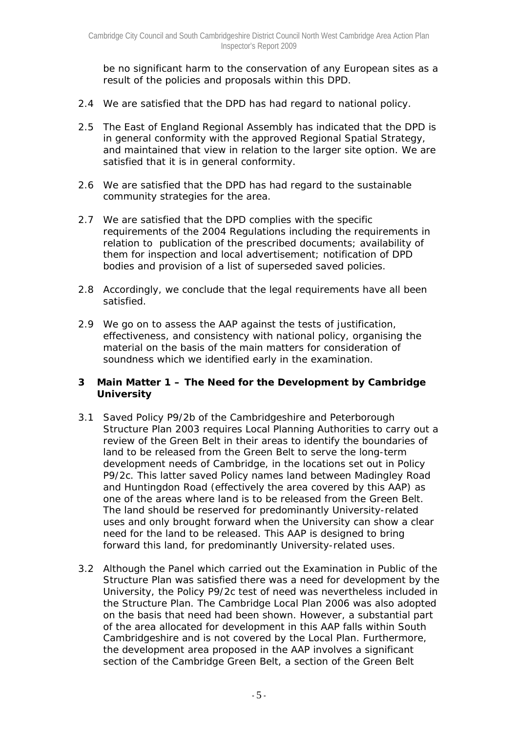be no significant harm to the conservation of any European sites as a result of the policies and proposals within this DPD.

- 2.4 We are satisfied that the DPD has had regard to national policy.
- 2.5 The East of England Regional Assembly has indicated that the DPD is in general conformity with the approved Regional Spatial Strategy, and maintained that view in relation to the larger site option. We are satisfied that it is in general conformity.
- 2.6 We are satisfied that the DPD has had regard to the sustainable community strategies for the area.
- 2.7 We are satisfied that the DPD complies with the specific requirements of the 2004 Regulations including the requirements in relation to publication of the prescribed documents; availability of them for inspection and local advertisement; notification of DPD bodies and provision of a list of superseded saved policies.
- 2.8 Accordingly, we conclude that the legal requirements have all been satisfied.
- 2.9 We go on to assess the AAP against the tests of justification, effectiveness, and consistency with national policy, organising the material on the basis of the main matters for consideration of soundness which we identified early in the examination.

#### **3 Main Matter 1 – The Need for the Development by Cambridge University**

- 3.1 Saved Policy P9/2b of the Cambridgeshire and Peterborough Structure Plan 2003 requires Local Planning Authorities to carry out a review of the Green Belt in their areas to identify the boundaries of land to be released from the Green Belt to serve the long-term development needs of Cambridge, in the locations set out in Policy P9/2c. This latter saved Policy names land between Madingley Road and Huntingdon Road (effectively the area covered by this AAP) as one of the areas where land is to be released from the Green Belt. The land should be reserved for predominantly University-related uses and only brought forward when the University can show a clear need for the land to be released. This AAP is designed to bring forward this land, for predominantly University-related uses.
- 3.2 Although the Panel which carried out the Examination in Public of the Structure Plan was satisfied there was a need for development by the University, the Policy P9/2c test of need was nevertheless included in the Structure Plan. The Cambridge Local Plan 2006 was also adopted on the basis that need had been shown. However, a substantial part of the area allocated for development in this AAP falls within South Cambridgeshire and is not covered by the Local Plan. Furthermore, the development area proposed in the AAP involves a significant section of the Cambridge Green Belt, a section of the Green Belt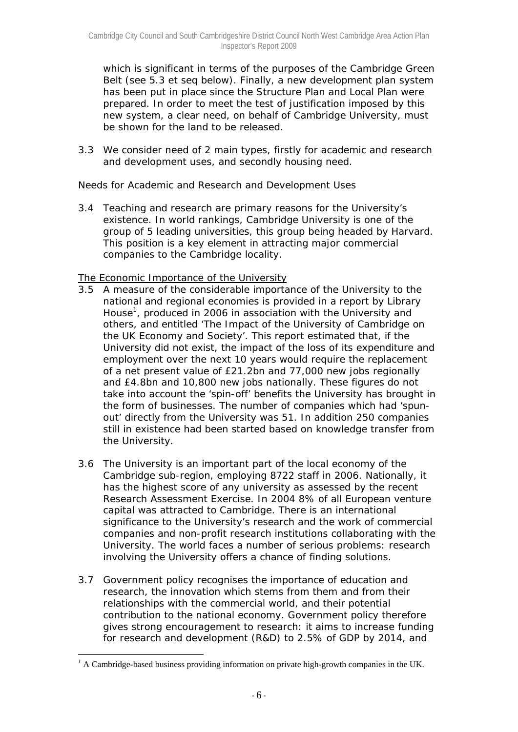which is significant in terms of the purposes of the Cambridge Green Belt (see 5.3 et seq below). Finally, a new development plan system has been put in place since the Structure Plan and Local Plan were prepared. In order to meet the test of justification imposed by this new system, a clear need, on behalf of Cambridge University, must be shown for the land to be released.

3.3 We consider need of 2 main types, firstly for academic and research and development uses, and secondly housing need.

## *Needs for Academic and Research and Development Uses*

3.4 Teaching and research are primary reasons for the University's existence. In world rankings, Cambridge University is one of the group of 5 leading universities, this group being headed by Harvard. This position is a key element in attracting major commercial companies to the Cambridge locality.

#### The Economic Importance of the University

- 3.5 A measure of the considerable importance of the University to the national and regional economies is provided in a report by Library House<sup>1</sup>, produced in 2006 in association with the University and others, and entitled 'The Impact of the University of Cambridge on the UK Economy and Society'. This report estimated that, if the University did not exist, the impact of the loss of its expenditure and employment over the next 10 years would require the replacement of a net present value of £21.2bn and 77,000 new jobs regionally and £4.8bn and 10,800 new jobs nationally. These figures do not take into account the 'spin-off' benefits the University has brought in the form of businesses. The number of companies which had 'spunout' directly from the University was 51. In addition 250 companies still in existence had been started based on knowledge transfer from the University.
- 3.6 The University is an important part of the local economy of the Cambridge sub-region, employing 8722 staff in 2006. Nationally, it has the highest score of any university as assessed by the recent Research Assessment Exercise. In 2004 8% of all European venture capital was attracted to Cambridge. There is an international significance to the University's research and the work of commercial companies and non-profit research institutions collaborating with the University. The world faces a number of serious problems: research involving the University offers a chance of finding solutions.
- 3.7 Government policy recognises the importance of education and research, the innovation which stems from them and from their relationships with the commercial world, and their potential contribution to the national economy. Government policy therefore gives strong encouragement to research: it aims to increase funding for research and development (R&D) to 2.5% of GDP by 2014, and

 $\overline{a}$ 

<sup>&</sup>lt;sup>1</sup> A Cambridge-based business providing information on private high-growth companies in the UK.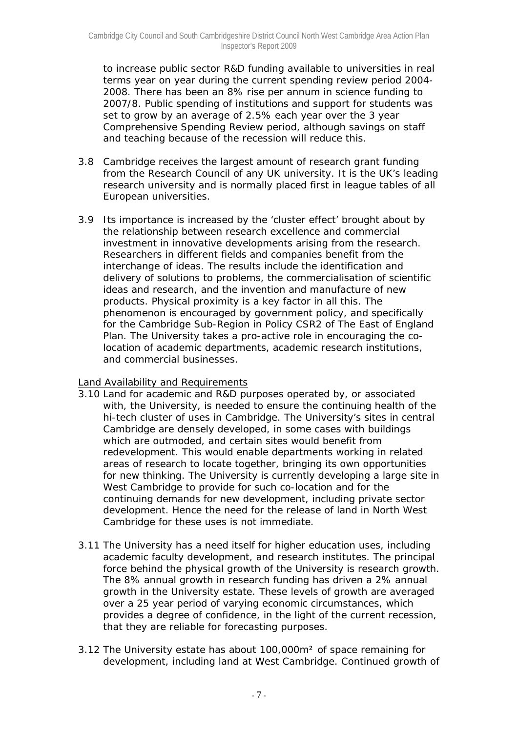to increase public sector R&D funding available to universities in real terms year on year during the current spending review period 2004- 2008. There has been an 8% rise per annum in science funding to 2007/8. Public spending of institutions and support for students was set to grow by an average of 2.5% each year over the 3 year Comprehensive Spending Review period, although savings on staff and teaching because of the recession will reduce this.

- 3.8 Cambridge receives the largest amount of research grant funding from the Research Council of any UK university. It is the UK's leading research university and is normally placed first in league tables of all European universities.
- 3.9 Its importance is increased by the 'cluster effect' brought about by the relationship between research excellence and commercial investment in innovative developments arising from the research. Researchers in different fields and companies benefit from the interchange of ideas. The results include the identification and delivery of solutions to problems, the commercialisation of scientific ideas and research, and the invention and manufacture of new products. Physical proximity is a key factor in all this. The phenomenon is encouraged by government policy, and specifically for the Cambridge Sub-Region in Policy CSR2 of The East of England Plan. The University takes a pro-active role in encouraging the colocation of academic departments, academic research institutions, and commercial businesses.

## Land Availability and Requirements

- 3.10 Land for academic and R&D purposes operated by, or associated with, the University, is needed to ensure the continuing health of the hi-tech cluster of uses in Cambridge. The University's sites in central Cambridge are densely developed, in some cases with buildings which are outmoded, and certain sites would benefit from redevelopment. This would enable departments working in related areas of research to locate together, bringing its own opportunities for new thinking. The University is currently developing a large site in West Cambridge to provide for such co-location and for the continuing demands for new development, including private sector development. Hence the need for the release of land in North West Cambridge for these uses is not immediate.
- 3.11 The University has a need itself for higher education uses, including academic faculty development, and research institutes. The principal force behind the physical growth of the University is research growth. The 8% annual growth in research funding has driven a 2% annual growth in the University estate. These levels of growth are averaged over a 25 year period of varying economic circumstances, which provides a degree of confidence, in the light of the current recession, that they are reliable for forecasting purposes.
- 3.12 The University estate has about 100,000m² of space remaining for development, including land at West Cambridge. Continued growth of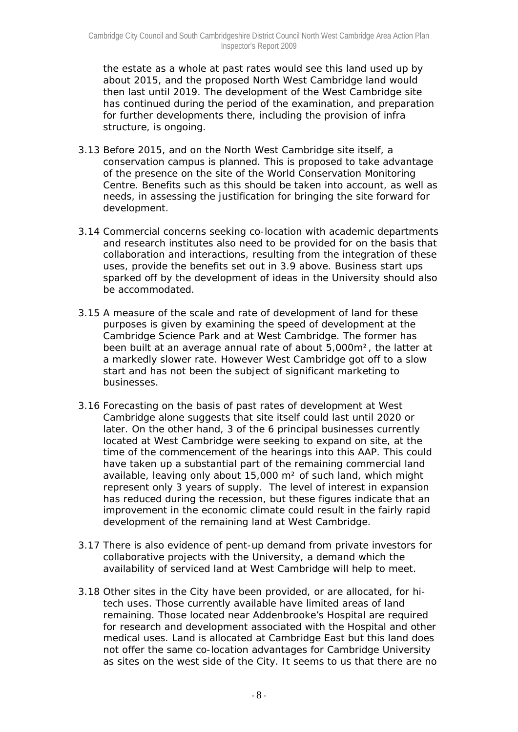the estate as a whole at past rates would see this land used up by about 2015, and the proposed North West Cambridge land would then last until 2019. The development of the West Cambridge site has continued during the period of the examination, and preparation for further developments there, including the provision of infra structure, is ongoing.

- 3.13 Before 2015, and on the North West Cambridge site itself, a conservation campus is planned. This is proposed to take advantage of the presence on the site of the World Conservation Monitoring Centre. Benefits such as this should be taken into account, as well as needs, in assessing the justification for bringing the site forward for development.
- 3.14 Commercial concerns seeking co-location with academic departments and research institutes also need to be provided for on the basis that collaboration and interactions, resulting from the integration of these uses, provide the benefits set out in 3.9 above. Business start ups sparked off by the development of ideas in the University should also be accommodated.
- 3.15 A measure of the scale and rate of development of land for these purposes is given by examining the speed of development at the Cambridge Science Park and at West Cambridge. The former has been built at an average annual rate of about 5,000m², the latter at a markedly slower rate. However West Cambridge got off to a slow start and has not been the subject of significant marketing to businesses.
- 3.16 Forecasting on the basis of past rates of development at West Cambridge alone suggests that site itself could last until 2020 or later. On the other hand, 3 of the 6 principal businesses currently located at West Cambridge were seeking to expand on site, at the time of the commencement of the hearings into this AAP. This could have taken up a substantial part of the remaining commercial land available, leaving only about 15,000  $m^2$  of such land, which might represent only 3 years of supply. The level of interest in expansion has reduced during the recession, but these figures indicate that an improvement in the economic climate could result in the fairly rapid development of the remaining land at West Cambridge.
- 3.17 There is also evidence of pent-up demand from private investors for collaborative projects with the University, a demand which the availability of serviced land at West Cambridge will help to meet.
- 3.18 Other sites in the City have been provided, or are allocated, for hitech uses. Those currently available have limited areas of land remaining. Those located near Addenbrooke's Hospital are required for research and development associated with the Hospital and other medical uses. Land is allocated at Cambridge East but this land does not offer the same co-location advantages for Cambridge University as sites on the west side of the City. It seems to us that there are no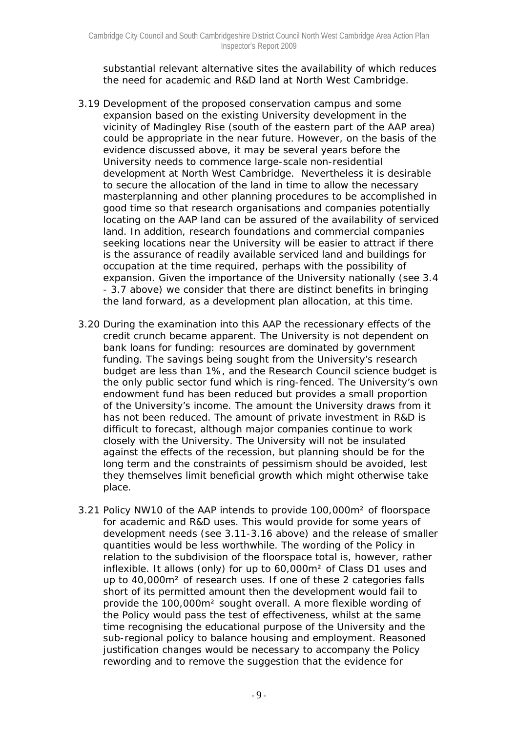substantial relevant alternative sites the availability of which reduces the need for academic and R&D land at North West Cambridge.

- 3.19 Development of the proposed conservation campus and some expansion based on the existing University development in the vicinity of Madingley Rise (south of the eastern part of the AAP area) could be appropriate in the near future. However, on the basis of the evidence discussed above, it may be several years before the University needs to commence large-scale non-residential development at North West Cambridge. Nevertheless it is desirable to secure the allocation of the land in time to allow the necessary masterplanning and other planning procedures to be accomplished in good time so that research organisations and companies potentially locating on the AAP land can be assured of the availability of serviced land. In addition, research foundations and commercial companies seeking locations near the University will be easier to attract if there is the assurance of readily available serviced land and buildings for occupation at the time required, perhaps with the possibility of expansion. Given the importance of the University nationally (see 3.4 - 3.7 above) we consider that there are distinct benefits in bringing the land forward, as a development plan allocation, at this time.
- 3.20 During the examination into this AAP the recessionary effects of the credit crunch became apparent. The University is not dependent on bank loans for funding: resources are dominated by government funding. The savings being sought from the University's research budget are less than 1%, and the Research Council science budget is the only public sector fund which is ring-fenced. The University's own endowment fund has been reduced but provides a small proportion of the University's income. The amount the University draws from it has not been reduced. The amount of private investment in R&D is difficult to forecast, although major companies continue to work closely with the University. The University will not be insulated against the effects of the recession, but planning should be for the long term and the constraints of pessimism should be avoided, lest they themselves limit beneficial growth which might otherwise take place.
- 3.21 Policy NW10 of the AAP intends to provide 100,000m² of floorspace for academic and R&D uses. This would provide for some years of development needs (see 3.11-3.16 above) and the release of smaller quantities would be less worthwhile. The wording of the Policy in relation to the subdivision of the floorspace total is, however, rather inflexible. It allows (only) for up to 60,000m² of Class D1 uses and up to 40,000m² of research uses. If one of these 2 categories falls short of its permitted amount then the development would fail to provide the 100,000m² sought overall. A more flexible wording of the Policy would pass the test of effectiveness, whilst at the same time recognising the educational purpose of the University and the sub-regional policy to balance housing and employment. Reasoned justification changes would be necessary to accompany the Policy rewording and to remove the suggestion that the evidence for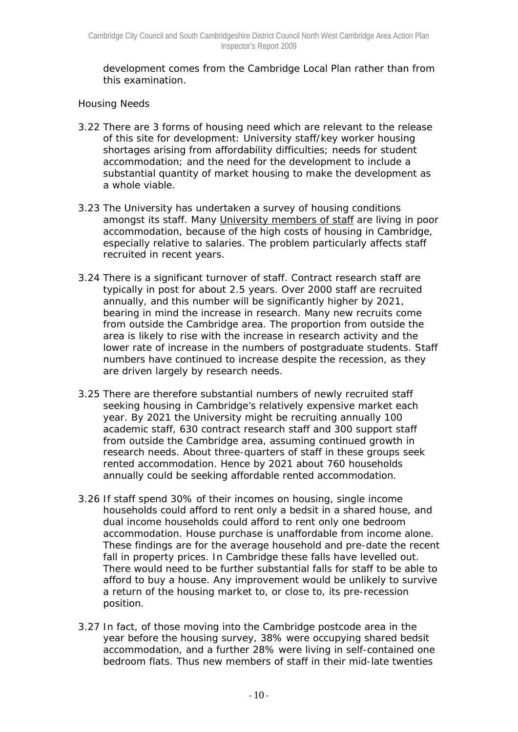development comes from the Cambridge Local Plan rather than from this examination.

## *Housing Needs*

- 3.22 There are 3 forms of housing need which are relevant to the release of this site for development: University staff/key worker housing shortages arising from affordability difficulties; needs for student accommodation; and the need for the development to include a substantial quantity of market housing to make the development as a whole viable.
- 3.23 The University has undertaken a survey of housing conditions amongst its staff. Many University members of staff are living in poor accommodation, because of the high costs of housing in Cambridge, especially relative to salaries. The problem particularly affects staff recruited in recent years.
- 3.24 There is a significant turnover of staff. Contract research staff are typically in post for about 2.5 years. Over 2000 staff are recruited annually, and this number will be significantly higher by 2021, bearing in mind the increase in research. Many new recruits come from outside the Cambridge area. The proportion from outside the area is likely to rise with the increase in research activity and the lower rate of increase in the numbers of postgraduate students. Staff numbers have continued to increase despite the recession, as they are driven largely by research needs.
- 3.25 There are therefore substantial numbers of newly recruited staff seeking housing in Cambridge's relatively expensive market each year. By 2021 the University might be recruiting annually 100 academic staff, 630 contract research staff and 300 support staff from outside the Cambridge area, assuming continued growth in research needs. About three-quarters of staff in these groups seek rented accommodation. Hence by 2021 about 760 households annually could be seeking affordable rented accommodation.
- 3.26 If staff spend 30% of their incomes on housing, single income households could afford to rent only a bedsit in a shared house, and dual income households could afford to rent only one bedroom accommodation. House purchase is unaffordable from income alone. These findings are for the average household and pre-date the recent fall in property prices. In Cambridge these falls have levelled out. There would need to be further substantial falls for staff to be able to afford to buy a house. Any improvement would be unlikely to survive a return of the housing market to, or close to, its pre-recession position.
- 3.27 In fact, of those moving into the Cambridge postcode area in the year before the housing survey, 38% were occupying shared bedsit accommodation, and a further 28% were living in self-contained one bedroom flats. Thus new members of staff in their mid-late twenties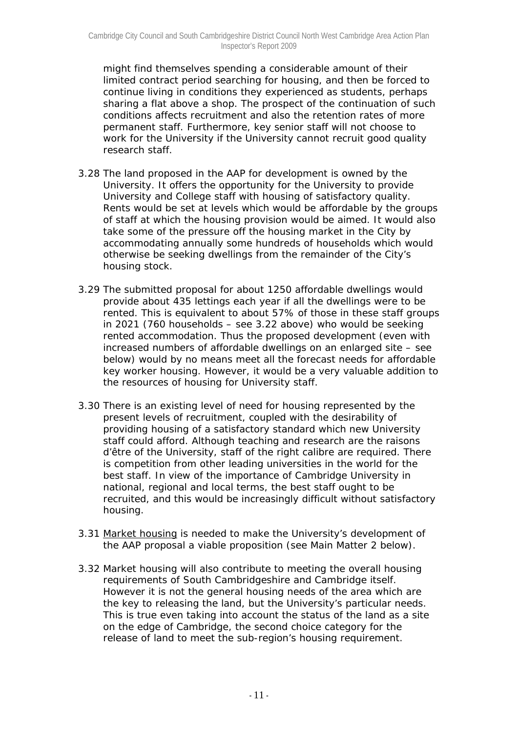might find themselves spending a considerable amount of their limited contract period searching for housing, and then be forced to continue living in conditions they experienced as students, perhaps sharing a flat above a shop. The prospect of the continuation of such conditions affects recruitment and also the retention rates of more permanent staff. Furthermore, key senior staff will not choose to work for the University if the University cannot recruit good quality research staff.

- 3.28 The land proposed in the AAP for development is owned by the University. It offers the opportunity for the University to provide University and College staff with housing of satisfactory quality. Rents would be set at levels which would be affordable by the groups of staff at which the housing provision would be aimed. It would also take some of the pressure off the housing market in the City by accommodating annually some hundreds of households which would otherwise be seeking dwellings from the remainder of the City's housing stock.
- 3.29 The submitted proposal for about 1250 affordable dwellings would provide about 435 lettings each year if all the dwellings were to be rented. This is equivalent to about 57% of those in these staff groups in 2021 (760 households – see 3.22 above) who would be seeking rented accommodation. Thus the proposed development (even with increased numbers of affordable dwellings on an enlarged site – see below) would by no means meet all the forecast needs for affordable key worker housing. However, it would be a very valuable addition to the resources of housing for University staff.
- 3.30 There is an existing level of need for housing represented by the present levels of recruitment, coupled with the desirability of providing housing of a satisfactory standard which new University staff could afford. Although teaching and research are the *raisons d'être* of the University, staff of the right calibre are required. There is competition from other leading universities in the world for the best staff. In view of the importance of Cambridge University in national, regional and local terms, the best staff ought to be recruited, and this would be increasingly difficult without satisfactory housing.
- 3.31 Market housing is needed to make the University's development of the AAP proposal a viable proposition (see Main Matter 2 below).
- 3.32 Market housing will also contribute to meeting the overall housing requirements of South Cambridgeshire and Cambridge itself. However it is not the general housing needs of the area which are the key to releasing the land, but the University's particular needs. This is true even taking into account the status of the land as a site on the edge of Cambridge, the second choice category for the release of land to meet the sub-region's housing requirement.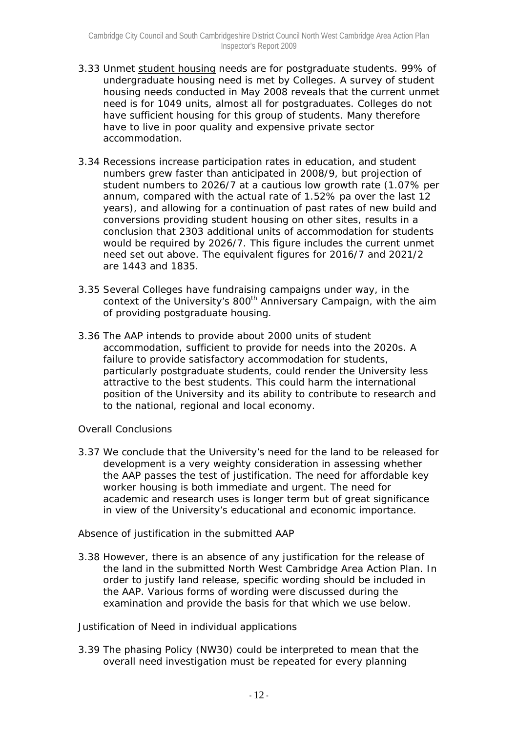- 3.33 Unmet student housing needs are for postgraduate students. 99% of undergraduate housing need is met by Colleges. A survey of student housing needs conducted in May 2008 reveals that the current unmet need is for 1049 units, almost all for postgraduates. Colleges do not have sufficient housing for this group of students. Many therefore have to live in poor quality and expensive private sector accommodation.
- 3.34 Recessions increase participation rates in education, and student numbers grew faster than anticipated in 2008/9, but projection of student numbers to 2026/7 at a cautious low growth rate (1.07% per annum, compared with the actual rate of 1.52% pa over the last 12 years), and allowing for a continuation of past rates of new build and conversions providing student housing on other sites, results in a conclusion that 2303 additional units of accommodation for students would be required by 2026/7. This figure includes the current unmet need set out above. The equivalent figures for 2016/7 and 2021/2 are 1443 and 1835.
- 3.35 Several Colleges have fundraising campaigns under way, in the context of the University's 800<sup>th</sup> Anniversary Campaign, with the aim of providing postgraduate housing.
- 3.36 The AAP intends to provide about 2000 units of student accommodation, sufficient to provide for needs into the 2020s. A failure to provide satisfactory accommodation for students, particularly postgraduate students, could render the University less attractive to the best students. This could harm the international position of the University and its ability to contribute to research and to the national, regional and local economy.

## *Overall Conclusions*

3.37 We conclude that the University's need for the land to be released for development is a very weighty consideration in assessing whether the AAP passes the test of justification. The need for affordable key worker housing is both immediate and urgent. The need for academic and research uses is longer term but of great significance in view of the University's educational and economic importance.

## *Absence of justification in the submitted AAP*

3.38 However, there is an absence of any justification for the release of the land in the submitted North West Cambridge Area Action Plan. In order to justify land release, specific wording should be included in the AAP. Various forms of wording were discussed during the examination and provide the basis for that which we use below.

## *Justification of Need in individual applications*

3.39 The phasing Policy (NW30) could be interpreted to mean that the overall need investigation must be repeated for every planning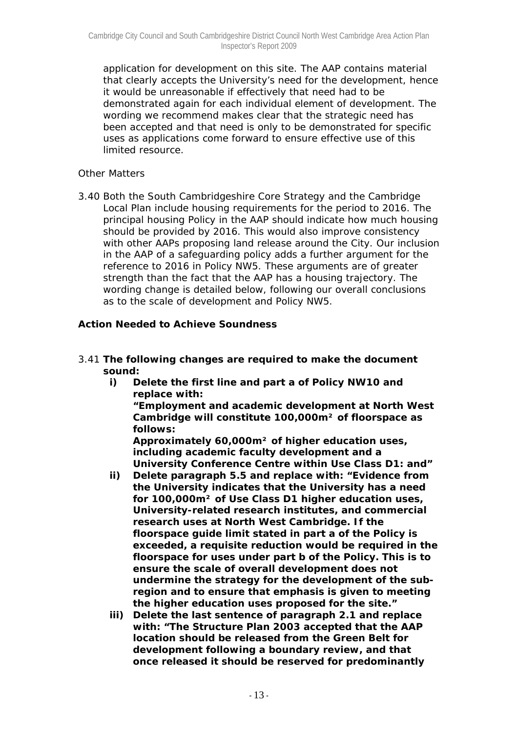application for development on this site. The AAP contains material that clearly accepts the University's need for the development, hence it would be unreasonable if effectively that need had to be demonstrated again for each individual element of development. The wording we recommend makes clear that the strategic need has been accepted and that need is only to be demonstrated for specific uses as applications come forward to ensure effective use of this limited resource.

## *Other Matters*

3.40 Both the South Cambridgeshire Core Strategy and the Cambridge Local Plan include housing requirements for the period to 2016. The principal housing Policy in the AAP should indicate how much housing should be provided by 2016. This would also improve consistency with other AAPs proposing land release around the City. Our inclusion in the AAP of a safeguarding policy adds a further argument for the reference to 2016 in Policy NW5. These arguments are of greater strength than the fact that the AAP has a housing trajectory. The wording change is detailed below, following our overall conclusions as to the scale of development and Policy NW5.

## *Action Needed to Achieve Soundness*

- 3.41 **The following changes are required to make the document sound:** 
	- **i) Delete the first line and part a of Policy NW10 and replace with:**

**"Employment and academic development at North West Cambridge will constitute 100,000m² of floorspace as follows:** 

**Approximately 60,000m² of higher education uses, including academic faculty development and a University Conference Centre within Use Class D1: and"** 

- **ii) Delete paragraph 5.5 and replace with: "Evidence from the University indicates that the University has a need for 100,000m² of Use Class D1 higher education uses, University-related research institutes, and commercial research uses at North West Cambridge. If the floorspace guide limit stated in part a of the Policy is exceeded, a requisite reduction would be required in the floorspace for uses under part b of the Policy. This is to ensure the scale of overall development does not undermine the strategy for the development of the subregion and to ensure that emphasis is given to meeting the higher education uses proposed for the site."**
- **iii) Delete the last sentence of paragraph 2.1 and replace with: "The Structure Plan 2003 accepted that the AAP location should be released from the Green Belt for development following a boundary review, and that once released it should be reserved for predominantly**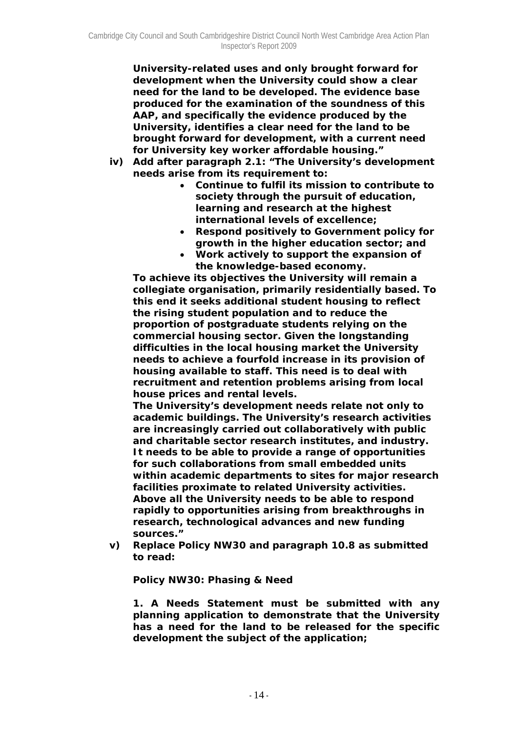**University-related uses and only brought forward for development when the University could show a clear need for the land to be developed. The evidence base produced for the examination of the soundness of this AAP, and specifically the evidence produced by the University, identifies a clear need for the land to be brought forward for development, with a current need for University key worker affordable housing."** 

- **iv) Add after paragraph 2.1: "The University's development needs arise from its requirement to:** 
	- **Continue to fulfil its mission to contribute to society through the pursuit of education, learning and research at the highest international levels of excellence;**
	- **Respond positively to Government policy for growth in the higher education sector; and**
	- **Work actively to support the expansion of the knowledge-based economy.**

**To achieve its objectives the University will remain a collegiate organisation, primarily residentially based. To this end it seeks additional student housing to reflect the rising student population and to reduce the proportion of postgraduate students relying on the commercial housing sector. Given the longstanding difficulties in the local housing market the University needs to achieve a fourfold increase in its provision of housing available to staff. This need is to deal with recruitment and retention problems arising from local house prices and rental levels.** 

**The University's development needs relate not only to academic buildings. The University's research activities are increasingly carried out collaboratively with public and charitable sector research institutes, and industry. It needs to be able to provide a range of opportunities for such collaborations from small embedded units within academic departments to sites for major research facilities proximate to related University activities. Above all the University needs to be able to respond rapidly to opportunities arising from breakthroughs in research, technological advances and new funding sources."** 

**v) Replace Policy NW30 and paragraph 10.8 as submitted to read:** 

**Policy NW30: Phasing & Need** 

**1. A Needs Statement must be submitted with any planning application to demonstrate that the University has a need for the land to be released for the specific development the subject of the application;**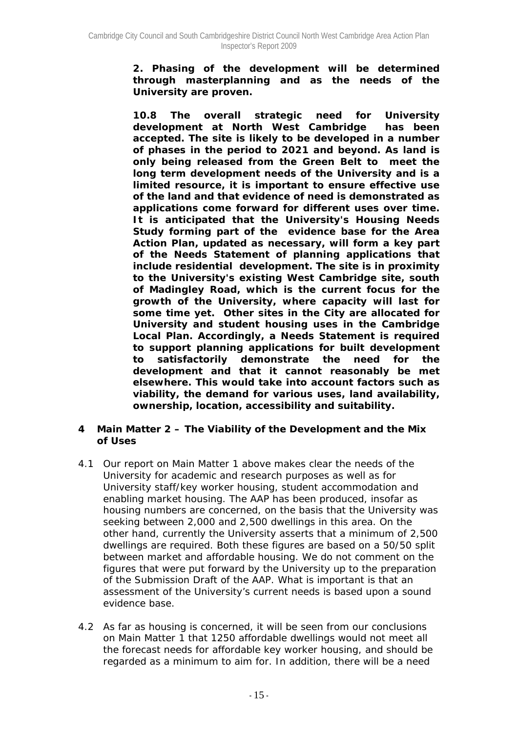**2. Phasing of the development will be determined through masterplanning and as the needs of the University are proven.** 

**10.8 The overall strategic need for University development at North West Cambridge has been accepted. The site is likely to be developed in a number of phases in the period to 2021 and beyond. As land is only being released from the Green Belt to meet the long term development needs of the University and is a limited resource, it is important to ensure effective use of the land and that evidence of need is demonstrated as applications come forward for different uses over time. It is anticipated that the University's Housing Needs Study forming part of the evidence base for the Area Action Plan, updated as necessary, will form a key part of the Needs Statement of planning applications that include residential development. The site is in proximity to the University's existing West Cambridge site, south of Madingley Road, which is the current focus for the growth of the University, where capacity will last for some time yet. Other sites in the City are allocated for University and student housing uses in the Cambridge Local Plan. Accordingly, a Needs Statement is required to support planning applications for built development to satisfactorily demonstrate the need for the development and that it cannot reasonably be met elsewhere. This would take into account factors such as viability, the demand for various uses, land availability, ownership, location, accessibility and suitability.** 

## **4 Main Matter 2 – The Viability of the Development and the Mix of Uses**

- 4.1 Our report on Main Matter 1 above makes clear the needs of the University for academic and research purposes as well as for University staff/key worker housing, student accommodation and enabling market housing. The AAP has been produced, insofar as housing numbers are concerned, on the basis that the University was seeking between 2,000 and 2,500 dwellings in this area. On the other hand, currently the University asserts that a minimum of 2,500 dwellings are required. Both these figures are based on a 50/50 split between market and affordable housing. We do not comment on the figures that were put forward by the University up to the preparation of the Submission Draft of the AAP. What is important is that an assessment of the University's current needs is based upon a sound evidence base.
- 4.2 As far as housing is concerned, it will be seen from our conclusions on Main Matter 1 that 1250 affordable dwellings would not meet all the forecast needs for affordable key worker housing, and should be regarded as a minimum to aim for. In addition, there will be a need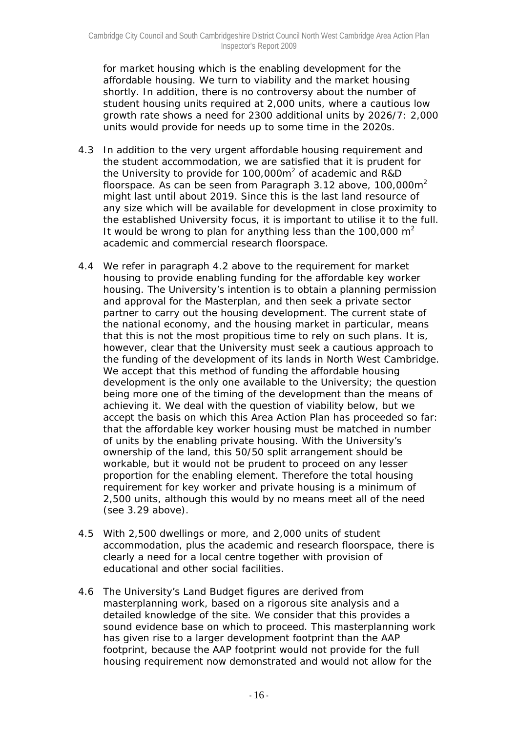for market housing which is the enabling development for the affordable housing. We turn to viability and the market housing shortly. In addition, there is no controversy about the number of student housing units required at 2,000 units, where a cautious low growth rate shows a need for 2300 additional units by 2026/7: 2,000 units would provide for needs up to some time in the 2020s.

- 4.3 In addition to the very urgent affordable housing requirement and the student accommodation, we are satisfied that it is prudent for the University to provide for 100,000 $m^2$  of academic and R&D floorspace. As can be seen from Paragraph 3.12 above,  $100,000m^2$ might last until about 2019. Since this is the last land resource of any size which will be available for development in close proximity to the established University focus, it is important to utilise it to the full. It would be wrong to plan for anything less than the 100,000  $m^2$ academic and commercial research floorspace.
- 4.4 We refer in paragraph 4.2 above to the requirement for market housing to provide enabling funding for the affordable key worker housing. The University's intention is to obtain a planning permission and approval for the Masterplan, and then seek a private sector partner to carry out the housing development. The current state of the national economy, and the housing market in particular, means that this is not the most propitious time to rely on such plans. It is, however, clear that the University must seek a cautious approach to the funding of the development of its lands in North West Cambridge. We accept that this method of funding the affordable housing development is the only one available to the University; the question being more one of the timing of the development than the means of achieving it. We deal with the question of viability below, but we accept the basis on which this Area Action Plan has proceeded so far: that the affordable key worker housing must be matched in number of units by the enabling private housing. With the University's ownership of the land, this 50/50 split arrangement should be workable, but it would not be prudent to proceed on any lesser proportion for the enabling element. Therefore the total housing requirement for key worker and private housing is a minimum of 2,500 units, although this would by no means meet all of the need (see 3.29 above).
- 4.5 With 2,500 dwellings or more, and 2,000 units of student accommodation, plus the academic and research floorspace, there is clearly a need for a local centre together with provision of educational and other social facilities.
- 4.6 The University's Land Budget figures are derived from masterplanning work, based on a rigorous site analysis and a detailed knowledge of the site. We consider that this provides a sound evidence base on which to proceed. This masterplanning work has given rise to a larger development footprint than the AAP footprint, because the AAP footprint would not provide for the full housing requirement now demonstrated and would not allow for the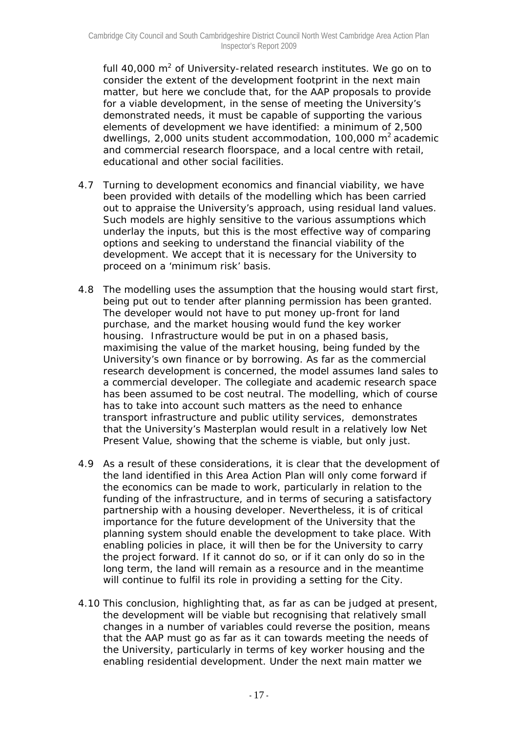full 40,000  $m^2$  of University-related research institutes. We go on to consider the extent of the development footprint in the next main matter, but here we conclude that, for the AAP proposals to provide for a viable development, in the sense of meeting the University's demonstrated needs, it must be capable of supporting the various elements of development we have identified: a minimum of 2,500 dwellings,  $2,000$  units student accommodation, 100,000 m<sup>2</sup> academic and commercial research floorspace, and a local centre with retail, educational and other social facilities.

- 4.7 Turning to development economics and financial viability, we have been provided with details of the modelling which has been carried out to appraise the University's approach, using residual land values. Such models are highly sensitive to the various assumptions which underlay the inputs, but this is the most effective way of comparing options and seeking to understand the financial viability of the development. We accept that it is necessary for the University to proceed on a 'minimum risk' basis.
- 4.8 The modelling uses the assumption that the housing would start first, being put out to tender after planning permission has been granted. The developer would not have to put money up-front for land purchase, and the market housing would fund the key worker housing. Infrastructure would be put in on a phased basis, maximising the value of the market housing, being funded by the University's own finance or by borrowing. As far as the commercial research development is concerned, the model assumes land sales to a commercial developer. The collegiate and academic research space has been assumed to be cost neutral. The modelling, which of course has to take into account such matters as the need to enhance transport infrastructure and public utility services, demonstrates that the University's Masterplan would result in a relatively low Net Present Value, showing that the scheme is viable, but only just.
- 4.9 As a result of these considerations, it is clear that the development of the land identified in this Area Action Plan will only come forward if the economics can be made to work, particularly in relation to the funding of the infrastructure, and in terms of securing a satisfactory partnership with a housing developer. Nevertheless, it is of critical importance for the future development of the University that the planning system should enable the development to take place. With enabling policies in place, it will then be for the University to carry the project forward. If it cannot do so, or if it can only do so in the long term, the land will remain as a resource and in the meantime will continue to fulfil its role in providing a setting for the City.
- 4.10 This conclusion, highlighting that, as far as can be judged at present, the development will be viable but recognising that relatively small changes in a number of variables could reverse the position, means that the AAP must go as far as it can towards meeting the needs of the University, particularly in terms of key worker housing and the enabling residential development. Under the next main matter we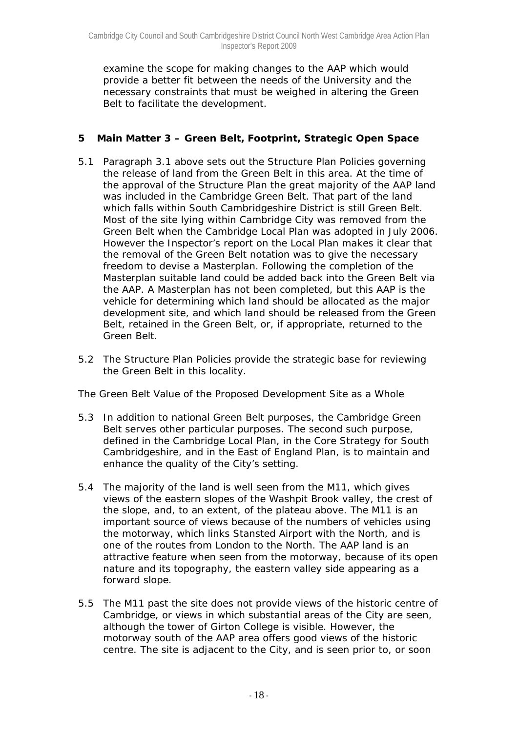examine the scope for making changes to the AAP which would provide a better fit between the needs of the University and the necessary constraints that must be weighed in altering the Green Belt to facilitate the development.

# **5 Main Matter 3 – Green Belt, Footprint, Strategic Open Space**

- 5.1 Paragraph 3.1 above sets out the Structure Plan Policies governing the release of land from the Green Belt in this area. At the time of the approval of the Structure Plan the great majority of the AAP land was included in the Cambridge Green Belt. That part of the land which falls within South Cambridgeshire District is still Green Belt. Most of the site lying within Cambridge City was removed from the Green Belt when the Cambridge Local Plan was adopted in July 2006. However the Inspector's report on the Local Plan makes it clear that the removal of the Green Belt notation was to give the necessary freedom to devise a Masterplan. Following the completion of the Masterplan suitable land could be added back into the Green Belt via the AAP. A Masterplan has not been completed, but this AAP is the vehicle for determining which land should be allocated as the major development site, and which land should be released from the Green Belt, retained in the Green Belt, or, if appropriate, returned to the Green Belt.
- 5.2 The Structure Plan Policies provide the strategic base for reviewing the Green Belt in this locality.

# *The Green Belt Value of the Proposed Development Site as a Whole*

- 5.3 In addition to national Green Belt purposes, the Cambridge Green Belt serves other particular purposes. The second such purpose, defined in the Cambridge Local Plan, in the Core Strategy for South Cambridgeshire, and in the East of England Plan, is to maintain and enhance the quality of the City's setting.
- 5.4 The majority of the land is well seen from the M11, which gives views of the eastern slopes of the Washpit Brook valley, the crest of the slope, and, to an extent, of the plateau above. The M11 is an important source of views because of the numbers of vehicles using the motorway, which links Stansted Airport with the North, and is one of the routes from London to the North. The AAP land is an attractive feature when seen from the motorway, because of its open nature and its topography, the eastern valley side appearing as a forward slope.
- 5.5 The M11 past the site does not provide views of the historic centre of Cambridge, or views in which substantial areas of the City are seen, although the tower of Girton College is visible. However, the motorway south of the AAP area offers good views of the historic centre. The site is adjacent to the City, and is seen prior to, or soon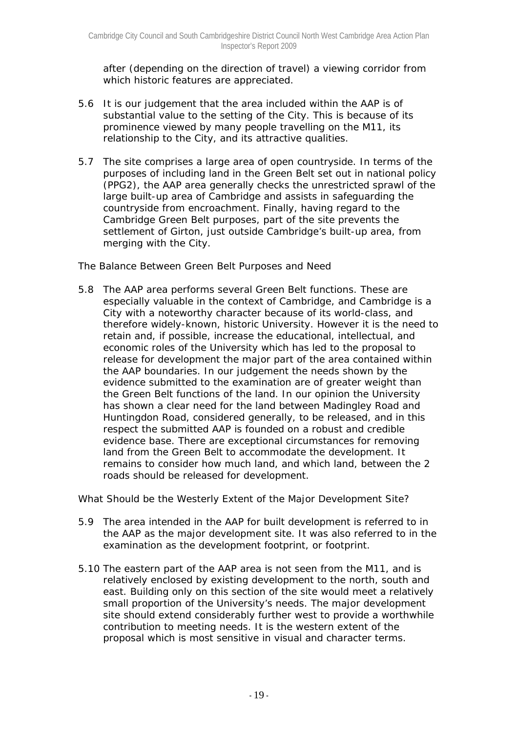after (depending on the direction of travel) a viewing corridor from which historic features are appreciated.

- 5.6 It is our judgement that the area included within the AAP is of substantial value to the setting of the City. This is because of its prominence viewed by many people travelling on the M11, its relationship to the City, and its attractive qualities.
- 5.7 The site comprises a large area of open countryside. In terms of the purposes of including land in the Green Belt set out in national policy (PPG2), the AAP area generally checks the unrestricted sprawl of the large built-up area of Cambridge and assists in safeguarding the countryside from encroachment. Finally, having regard to the Cambridge Green Belt purposes, part of the site prevents the settlement of Girton, just outside Cambridge's built-up area, from merging with the City.

## *The Balance Between Green Belt Purposes and Need*

5.8 The AAP area performs several Green Belt functions. These are especially valuable in the context of Cambridge, and Cambridge is a City with a noteworthy character because of its world-class, and therefore widely-known, historic University. However it is the need to retain and, if possible, increase the educational, intellectual, and economic roles of the University which has led to the proposal to release for development the major part of the area contained within the AAP boundaries. In our judgement the needs shown by the evidence submitted to the examination are of greater weight than the Green Belt functions of the land. In our opinion the University has shown a clear need for the land between Madingley Road and Huntingdon Road, considered generally, to be released, and in this respect the submitted AAP is founded on a robust and credible evidence base. There are exceptional circumstances for removing land from the Green Belt to accommodate the development. It remains to consider how much land, and which land, between the 2 roads should be released for development.

## *What Should be the Westerly Extent of the Major Development Site?*

- 5.9 The area intended in the AAP for built development is referred to in the AAP as the major development site. It was also referred to in the examination as the development footprint, or footprint.
- 5.10 The eastern part of the AAP area is not seen from the M11, and is relatively enclosed by existing development to the north, south and east. Building only on this section of the site would meet a relatively small proportion of the University's needs. The major development site should extend considerably further west to provide a worthwhile contribution to meeting needs. It is the western extent of the proposal which is most sensitive in visual and character terms.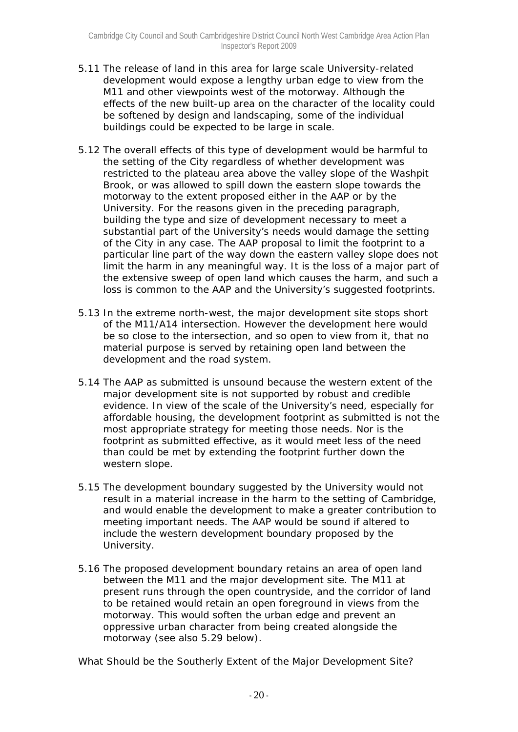- 5.11 The release of land in this area for large scale University-related development would expose a lengthy urban edge to view from the M11 and other viewpoints west of the motorway. Although the effects of the new built-up area on the character of the locality could be softened by design and landscaping, some of the individual buildings could be expected to be large in scale.
- 5.12 The overall effects of this type of development would be harmful to the setting of the City regardless of whether development was restricted to the plateau area above the valley slope of the Washpit Brook, or was allowed to spill down the eastern slope towards the motorway to the extent proposed either in the AAP or by the University. For the reasons given in the preceding paragraph, building the type and size of development necessary to meet a substantial part of the University's needs would damage the setting of the City in any case. The AAP proposal to limit the footprint to a particular line part of the way down the eastern valley slope does not limit the harm in any meaningful way. It is the loss of a major part of the extensive sweep of open land which causes the harm, and such a loss is common to the AAP and the University's suggested footprints.
- 5.13 In the extreme north-west, the major development site stops short of the M11/A14 intersection. However the development here would be so close to the intersection, and so open to view from it, that no material purpose is served by retaining open land between the development and the road system.
- 5.14 The AAP as submitted is unsound because the western extent of the major development site is not supported by robust and credible evidence. In view of the scale of the University's need, especially for affordable housing, the development footprint as submitted is not the most appropriate strategy for meeting those needs. Nor is the footprint as submitted effective, as it would meet less of the need than could be met by extending the footprint further down the western slope.
- 5.15 The development boundary suggested by the University would not result in a material increase in the harm to the setting of Cambridge, and would enable the development to make a greater contribution to meeting important needs. The AAP would be sound if altered to include the western development boundary proposed by the University.
- 5.16 The proposed development boundary retains an area of open land between the M11 and the major development site. The M11 at present runs through the open countryside, and the corridor of land to be retained would retain an open foreground in views from the motorway. This would soften the urban edge and prevent an oppressive urban character from being created alongside the motorway (see also 5.29 below).

*What Should be the Southerly Extent of the Major Development Site?*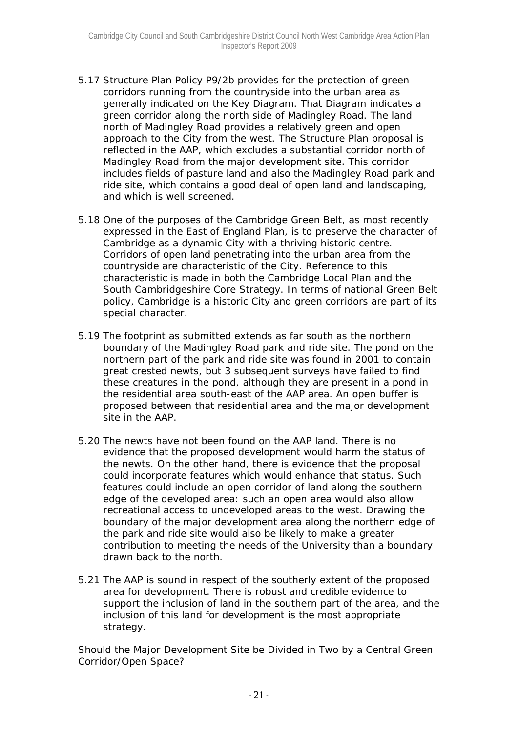- 5.17 Structure Plan Policy P9/2b provides for the protection of green corridors running from the countryside into the urban area as generally indicated on the Key Diagram. That Diagram indicates a green corridor along the north side of Madingley Road. The land north of Madingley Road provides a relatively green and open approach to the City from the west. The Structure Plan proposal is reflected in the AAP, which excludes a substantial corridor north of Madingley Road from the major development site. This corridor includes fields of pasture land and also the Madingley Road park and ride site, which contains a good deal of open land and landscaping, and which is well screened.
- 5.18 One of the purposes of the Cambridge Green Belt, as most recently expressed in the East of England Plan, is to preserve the character of Cambridge as a dynamic City with a thriving historic centre. Corridors of open land penetrating into the urban area from the countryside are characteristic of the City. Reference to this characteristic is made in both the Cambridge Local Plan and the South Cambridgeshire Core Strategy. In terms of national Green Belt policy, Cambridge is a historic City and green corridors are part of its special character.
- 5.19 The footprint as submitted extends as far south as the northern boundary of the Madingley Road park and ride site. The pond on the northern part of the park and ride site was found in 2001 to contain great crested newts, but 3 subsequent surveys have failed to find these creatures in the pond, although they are present in a pond in the residential area south-east of the AAP area. An open buffer is proposed between that residential area and the major development site in the AAP.
- 5.20 The newts have not been found on the AAP land. There is no evidence that the proposed development would harm the status of the newts. On the other hand, there is evidence that the proposal could incorporate features which would enhance that status. Such features could include an open corridor of land along the southern edge of the developed area: such an open area would also allow recreational access to undeveloped areas to the west. Drawing the boundary of the major development area along the northern edge of the park and ride site would also be likely to make a greater contribution to meeting the needs of the University than a boundary drawn back to the north.
- 5.21 The AAP is sound in respect of the southerly extent of the proposed area for development. There is robust and credible evidence to support the inclusion of land in the southern part of the area, and the inclusion of this land for development is the most appropriate strategy.

*Should the Major Development Site be Divided in Two by a Central Green Corridor/Open Space?*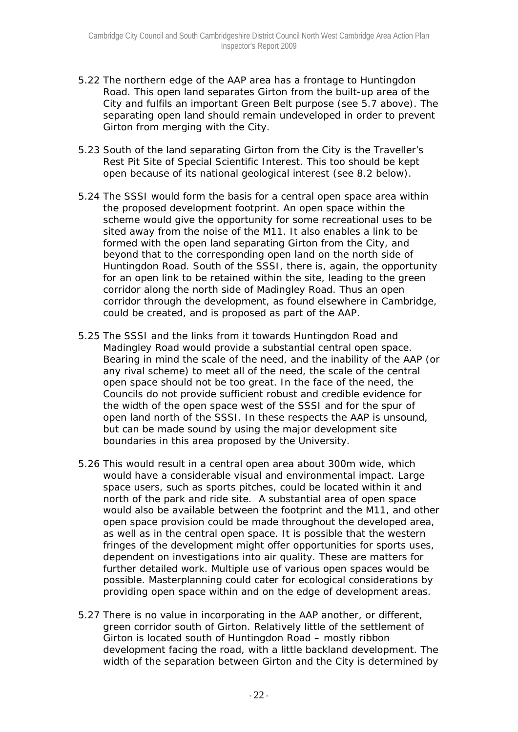- 5.22 The northern edge of the AAP area has a frontage to Huntingdon Road. This open land separates Girton from the built-up area of the City and fulfils an important Green Belt purpose (see 5.7 above). The separating open land should remain undeveloped in order to prevent Girton from merging with the City.
- 5.23 South of the land separating Girton from the City is the Traveller's Rest Pit Site of Special Scientific Interest. This too should be kept open because of its national geological interest (see 8.2 below).
- 5.24 The SSSI would form the basis for a central open space area within the proposed development footprint. An open space within the scheme would give the opportunity for some recreational uses to be sited away from the noise of the M11. It also enables a link to be formed with the open land separating Girton from the City, and beyond that to the corresponding open land on the north side of Huntingdon Road. South of the SSSI, there is, again, the opportunity for an open link to be retained within the site, leading to the green corridor along the north side of Madingley Road. Thus an open corridor through the development, as found elsewhere in Cambridge, could be created, and is proposed as part of the AAP.
- 5.25 The SSSI and the links from it towards Huntingdon Road and Madingley Road would provide a substantial central open space. Bearing in mind the scale of the need, and the inability of the AAP (or any rival scheme) to meet all of the need, the scale of the central open space should not be too great. In the face of the need, the Councils do not provide sufficient robust and credible evidence for the width of the open space west of the SSSI and for the spur of open land north of the SSSI. In these respects the AAP is unsound, but can be made sound by using the major development site boundaries in this area proposed by the University.
- 5.26 This would result in a central open area about 300m wide, which would have a considerable visual and environmental impact. Large space users, such as sports pitches, could be located within it and north of the park and ride site. A substantial area of open space would also be available between the footprint and the M11, and other open space provision could be made throughout the developed area, as well as in the central open space. It is possible that the western fringes of the development might offer opportunities for sports uses, dependent on investigations into air quality. These are matters for further detailed work. Multiple use of various open spaces would be possible. Masterplanning could cater for ecological considerations by providing open space within and on the edge of development areas.
- 5.27 There is no value in incorporating in the AAP another, or different, green corridor south of Girton. Relatively little of the settlement of Girton is located south of Huntingdon Road – mostly ribbon development facing the road, with a little backland development. The width of the separation between Girton and the City is determined by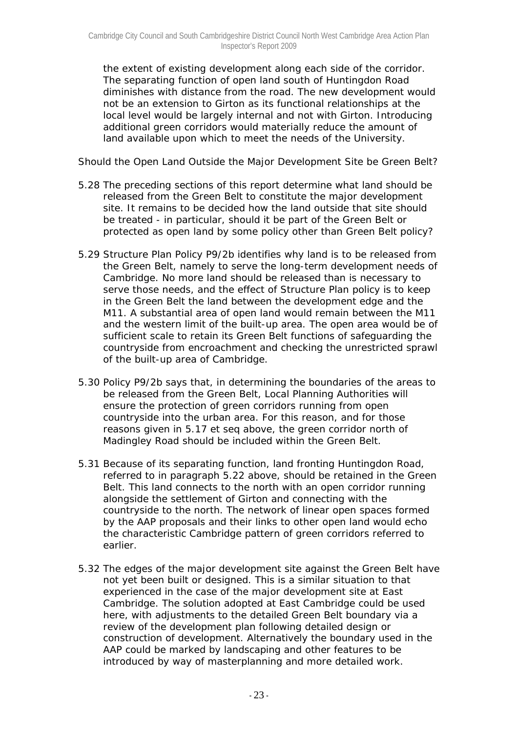the extent of existing development along each side of the corridor. The separating function of open land south of Huntingdon Road diminishes with distance from the road. The new development would not be an extension to Girton as its functional relationships at the local level would be largely internal and not with Girton. Introducing additional green corridors would materially reduce the amount of land available upon which to meet the needs of the University.

## *Should the Open Land Outside the Major Development Site be Green Belt?*

- 5.28 The preceding sections of this report determine what land should be released from the Green Belt to constitute the major development site. It remains to be decided how the land outside that site should be treated - in particular, should it be part of the Green Belt or protected as open land by some policy other than Green Belt policy?
- 5.29 Structure Plan Policy P9/2b identifies why land is to be released from the Green Belt, namely to serve the long-term development needs of Cambridge. No more land should be released than is necessary to serve those needs, and the effect of Structure Plan policy is to keep in the Green Belt the land between the development edge and the M11. A substantial area of open land would remain between the M11 and the western limit of the built-up area. The open area would be of sufficient scale to retain its Green Belt functions of safeguarding the countryside from encroachment and checking the unrestricted sprawl of the built-up area of Cambridge.
- 5.30 Policy P9/2b says that, in determining the boundaries of the areas to be released from the Green Belt, Local Planning Authorities will ensure the protection of green corridors running from open countryside into the urban area. For this reason, and for those reasons given in 5.17 *et seq* above, the green corridor north of Madingley Road should be included within the Green Belt.
- 5.31 Because of its separating function, land fronting Huntingdon Road, referred to in paragraph 5.22 above, should be retained in the Green Belt. This land connects to the north with an open corridor running alongside the settlement of Girton and connecting with the countryside to the north. The network of linear open spaces formed by the AAP proposals and their links to other open land would echo the characteristic Cambridge pattern of green corridors referred to earlier.
- 5.32 The edges of the major development site against the Green Belt have not yet been built or designed. This is a similar situation to that experienced in the case of the major development site at East Cambridge. The solution adopted at East Cambridge could be used here, with adjustments to the detailed Green Belt boundary via a review of the development plan following detailed design or construction of development. Alternatively the boundary used in the AAP could be marked by landscaping and other features to be introduced by way of masterplanning and more detailed work.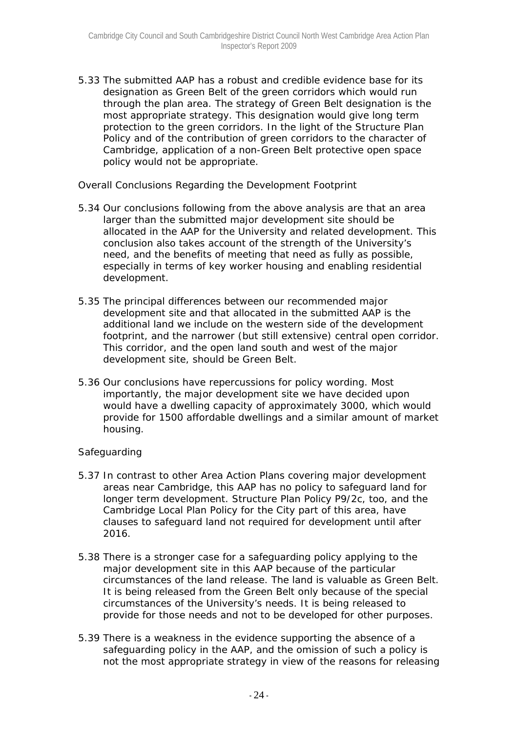5.33 The submitted AAP has a robust and credible evidence base for its designation as Green Belt of the green corridors which would run through the plan area. The strategy of Green Belt designation is the most appropriate strategy. This designation would give long term protection to the green corridors. In the light of the Structure Plan Policy and of the contribution of green corridors to the character of Cambridge, application of a non-Green Belt protective open space policy would not be appropriate.

## *Overall Conclusions Regarding the Development Footprint*

- 5.34 Our conclusions following from the above analysis are that an area larger than the submitted major development site should be allocated in the AAP for the University and related development. This conclusion also takes account of the strength of the University's need, and the benefits of meeting that need as fully as possible, especially in terms of key worker housing and enabling residential development.
- 5.35 The principal differences between our recommended major development site and that allocated in the submitted AAP is the additional land we include on the western side of the development footprint, and the narrower (but still extensive) central open corridor. This corridor, and the open land south and west of the major development site, should be Green Belt.
- 5.36 Our conclusions have repercussions for policy wording. Most importantly, the major development site we have decided upon would have a dwelling capacity of approximately 3000, which would provide for 1500 affordable dwellings and a similar amount of market housing.

## *Safeguarding*

- 5.37 In contrast to other Area Action Plans covering major development areas near Cambridge, this AAP has no policy to safeguard land for longer term development. Structure Plan Policy P9/2c, too, and the Cambridge Local Plan Policy for the City part of this area, have clauses to safeguard land not required for development until after 2016.
- 5.38 There is a stronger case for a safeguarding policy applying to the major development site in this AAP because of the particular circumstances of the land release. The land is valuable as Green Belt. It is being released from the Green Belt only because of the special circumstances of the University's needs. It is being released to provide for those needs and not to be developed for other purposes.
- 5.39 There is a weakness in the evidence supporting the absence of a safeguarding policy in the AAP, and the omission of such a policy is not the most appropriate strategy in view of the reasons for releasing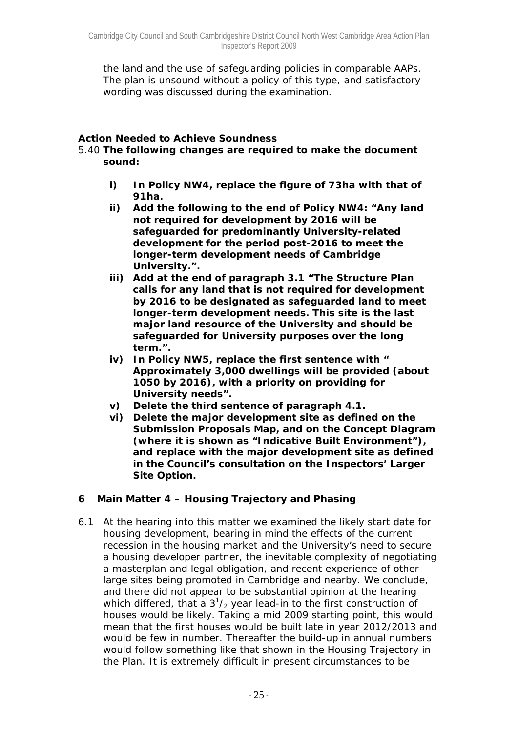the land and the use of safeguarding policies in comparable AAPs. The plan is unsound without a policy of this type, and satisfactory wording was discussed during the examination.

## *Action Needed to Achieve Soundness*

- 5.40 **The following changes are required to make the document sound:** 
	- **i) In Policy NW4, replace the figure of 73ha with that of 91ha.**
	- **ii) Add the following to the end of Policy NW4: "Any land not required for development by 2016 will be safeguarded for predominantly University-related development for the period post-2016 to meet the longer-term development needs of Cambridge University.".**
	- **iii) Add at the end of paragraph 3.1 "The Structure Plan calls for any land that is not required for development by 2016 to be designated as safeguarded land to meet longer-term development needs. This site is the last major land resource of the University and should be safeguarded for University purposes over the long term.".**
	- **iv) In Policy NW5, replace the first sentence with " Approximately 3,000 dwellings will be provided (about 1050 by 2016), with a priority on providing for University needs".**
	- **v) Delete the third sentence of paragraph 4.1.**
	- **vi) Delete the major development site as defined on the Submission Proposals Map, and on the Concept Diagram (where it is shown as "Indicative Built Environment"), and replace with the major development site as defined in the Council's consultation on the Inspectors' Larger Site Option.**

# **6 Main Matter 4 – Housing Trajectory and Phasing**

6.1 At the hearing into this matter we examined the likely start date for housing development, bearing in mind the effects of the current recession in the housing market and the University's need to secure a housing developer partner, the inevitable complexity of negotiating a masterplan and legal obligation, and recent experience of other large sites being promoted in Cambridge and nearby. We conclude, and there did not appear to be substantial opinion at the hearing which differed, that a  $3^{1}/_{2}$  year lead-in to the first construction of houses would be likely. Taking a mid 2009 starting point, this would mean that the first houses would be built late in year 2012/2013 and would be few in number. Thereafter the build-up in annual numbers would follow something like that shown in the Housing Trajectory in the Plan. It is extremely difficult in present circumstances to be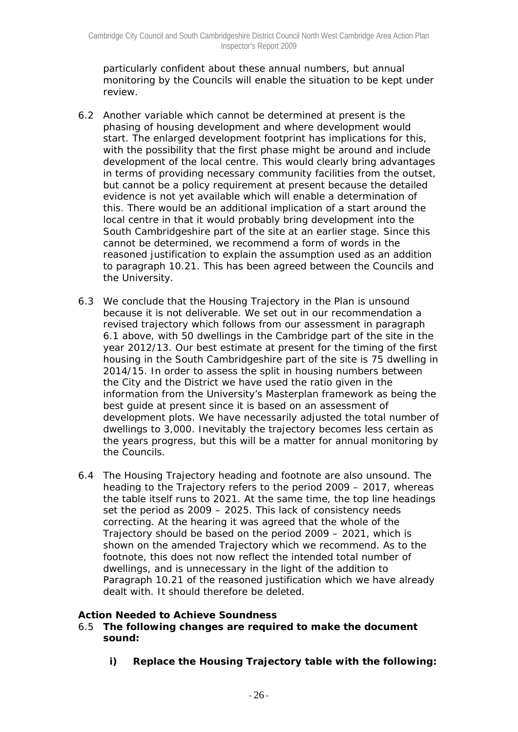particularly confident about these annual numbers, but annual monitoring by the Councils will enable the situation to be kept under review.

- 6.2 Another variable which cannot be determined at present is the phasing of housing development and where development would start. The enlarged development footprint has implications for this, with the possibility that the first phase might be around and include development of the local centre. This would clearly bring advantages in terms of providing necessary community facilities from the outset, but cannot be a policy requirement at present because the detailed evidence is not yet available which will enable a determination of this. There would be an additional implication of a start around the local centre in that it would probably bring development into the South Cambridgeshire part of the site at an earlier stage. Since this cannot be determined, we recommend a form of words in the reasoned justification to explain the assumption used as an addition to paragraph 10.21. This has been agreed between the Councils and the University.
- 6.3 We conclude that the Housing Trajectory in the Plan is unsound because it is not deliverable. We set out in our recommendation a revised trajectory which follows from our assessment in paragraph 6.1 above, with 50 dwellings in the Cambridge part of the site in the year 2012/13. Our best estimate at present for the timing of the first housing in the South Cambridgeshire part of the site is 75 dwelling in 2014/15. In order to assess the split in housing numbers between the City and the District we have used the ratio given in the information from the University's Masterplan framework as being the best guide at present since it is based on an assessment of development plots. We have necessarily adjusted the total number of dwellings to 3,000. Inevitably the trajectory becomes less certain as the years progress, but this will be a matter for annual monitoring by the Councils.
- 6.4 The Housing Trajectory heading and footnote are also unsound. The heading to the Trajectory refers to the period 2009 – 2017, whereas the table itself runs to 2021. At the same time, the top line headings set the period as 2009 – 2025. This lack of consistency needs correcting. At the hearing it was agreed that the whole of the Trajectory should be based on the period 2009 – 2021, which is shown on the amended Trajectory which we recommend. As to the footnote, this does not now reflect the intended total number of dwellings, and is unnecessary in the light of the addition to Paragraph 10.21 of the reasoned justification which we have already dealt with. It should therefore be deleted.

## *Action Needed to Achieve Soundness*

- 6.5 **The following changes are required to make the document sound:**
	- **i) Replace the Housing Trajectory table with the following:**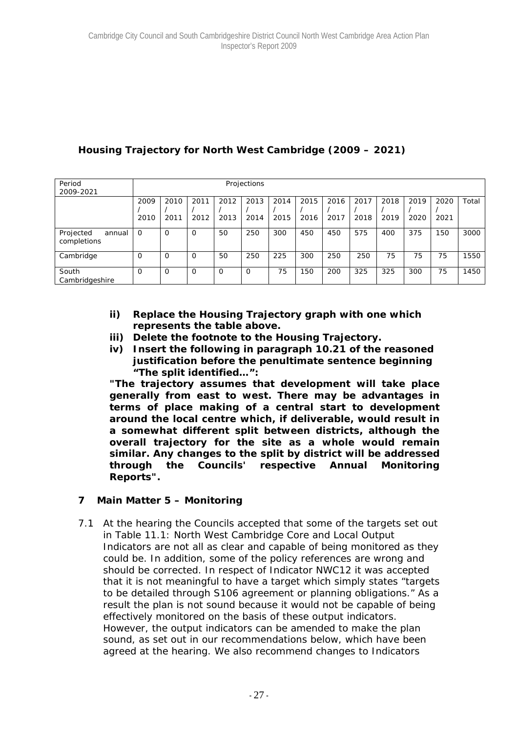# **Housing Trajectory for North West Cambridge (2009 – 2021)**

| Period<br>2009-2021                |              |              |              |              | Projections  |              |              |              |              |              |              |              |       |
|------------------------------------|--------------|--------------|--------------|--------------|--------------|--------------|--------------|--------------|--------------|--------------|--------------|--------------|-------|
|                                    | 2009<br>2010 | 2010<br>2011 | 2011<br>2012 | 2012<br>2013 | 2013<br>2014 | 2014<br>2015 | 2015<br>2016 | 2016<br>2017 | 2017<br>2018 | 2018<br>2019 | 2019<br>2020 | 2020<br>2021 | Total |
| Projected<br>annual<br>completions | $\Omega$     | 0            | 0            | 50           | 250          | 300          | 450          | 450          | 575          | 400          | 375          | 150          | 3000  |
| Cambridge                          | $\Omega$     | $\Omega$     | 0            | 50           | 250          | 225          | 300          | 250          | 250          | 75           | 75           | 75           | 1550  |
| South<br>Cambridgeshire            | $\Omega$     | $\Omega$     | 0            | $\Omega$     | $\Omega$     | 75           | 150          | 200          | 325          | 325          | 300          | 75           | 1450  |

- **ii) Replace the Housing Trajectory graph with one which represents the table above.**
- **iii) Delete the footnote to the Housing Trajectory.**
- **iv) Insert the following in paragraph 10.21 of the reasoned justification before the penultimate sentence beginning "The split identified…":**

**"The trajectory assumes that development will take place generally from east to west. There may be advantages in terms of place making of a central start to development around the local centre which, if deliverable, would result in a somewhat different split between districts, although the overall trajectory for the site as a whole would remain similar. Any changes to the split by district will be addressed through the Councils' respective Annual Monitoring Reports".** 

# **7 Main Matter 5 – Monitoring**

7.1 At the hearing the Councils accepted that some of the targets set out in Table 11.1: North West Cambridge Core and Local Output Indicators are not all as clear and capable of being monitored as they could be. In addition, some of the policy references are wrong and should be corrected. In respect of Indicator NWC12 it was accepted that it is not meaningful to have a target which simply states "targets to be detailed through S106 agreement or planning obligations." As a result the plan is not sound because it would not be capable of being effectively monitored on the basis of these output indicators. However, the output indicators can be amended to make the plan sound, as set out in our recommendations below, which have been agreed at the hearing. We also recommend changes to Indicators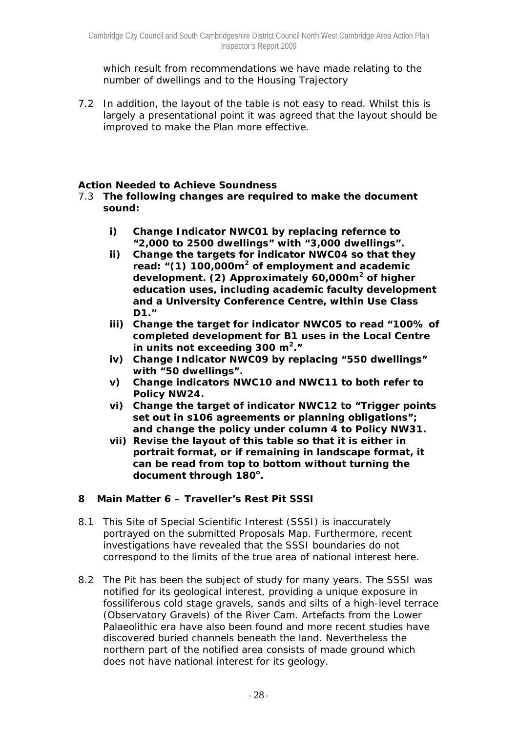which result from recommendations we have made relating to the number of dwellings and to the Housing Trajectory

7.2 In addition, the layout of the table is not easy to read. Whilst this is largely a presentational point it was agreed that the layout should be improved to make the Plan more effective.

## *Action Needed to Achieve Soundness*

- 7.3 **The following changes are required to make the document sound:**
	- **i) Change Indicator NWC01 by replacing refernce to "2,000 to 2500 dwellings" with "3,000 dwellings".**
	- **ii) Change the targets for indicator NWC04 so that they read: "(1) 100,000m<sup>2</sup> of employment and academic development. (2) Approximately 60,000m<sup>2</sup> of higher education uses, including academic faculty development and a University Conference Centre, within Use Class D1."**
	- **iii) Change the target for indicator NWC05 to read "100% of completed development for B1 uses in the Local Centre in units not exceeding 300 m2."**
	- **iv) Change Indicator NWC09 by replacing "550 dwellings" with "50 dwellings".**
	- **v) Change indicators NWC10 and NWC11 to both refer to Policy NW24.**
	- **vi) Change the target of indicator NWC12 to "Trigger points set out in s106 agreements or planning obligations"; and change the policy under column 4 to Policy NW31.**
	- **vii) Revise the layout of this table so that it is either in portrait format, or if remaining in landscape format, it can be read from top to bottom without turning the**  document through 180<sup>°</sup>.

## **8 Main Matter 6 – Traveller's Rest Pit SSSI**

- 8.1 This Site of Special Scientific Interest (SSSI) is inaccurately portrayed on the submitted Proposals Map. Furthermore, recent investigations have revealed that the SSSI boundaries do not correspond to the limits of the true area of national interest here.
- 8.2 The Pit has been the subject of study for many years. The SSSI was notified for its geological interest, providing a unique exposure in fossiliferous cold stage gravels, sands and silts of a high-level terrace (Observatory Gravels) of the River Cam. Artefacts from the Lower Palaeolithic era have also been found and more recent studies have discovered buried channels beneath the land. Nevertheless the northern part of the notified area consists of made ground which does not have national interest for its geology.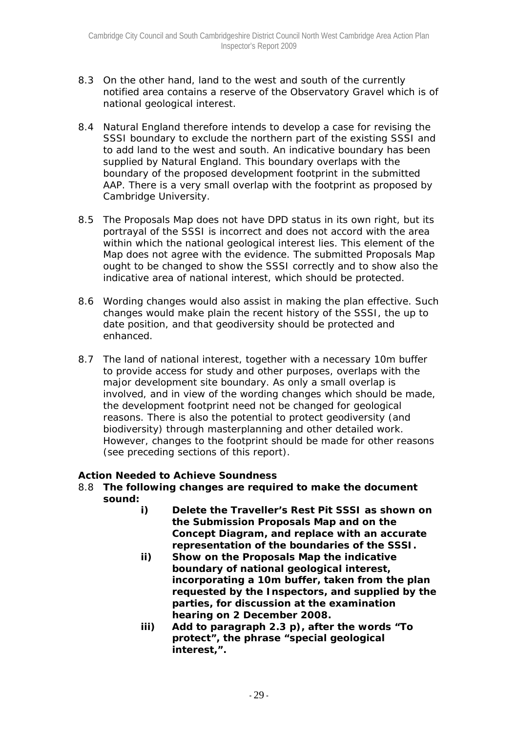- 8.3 On the other hand, land to the west and south of the currently notified area contains a reserve of the Observatory Gravel which is of national geological interest.
- 8.4 Natural England therefore intends to develop a case for revising the SSSI boundary to exclude the northern part of the existing SSSI and to add land to the west and south. An indicative boundary has been supplied by Natural England. This boundary overlaps with the boundary of the proposed development footprint in the submitted AAP. There is a very small overlap with the footprint as proposed by Cambridge University.
- 8.5 The Proposals Map does not have DPD status in its own right, but its portrayal of the SSSI is incorrect and does not accord with the area within which the national geological interest lies. This element of the Map does not agree with the evidence. The submitted Proposals Map ought to be changed to show the SSSI correctly and to show also the indicative area of national interest, which should be protected.
- 8.6 Wording changes would also assist in making the plan effective. Such changes would make plain the recent history of the SSSI, the up to date position, and that geodiversity should be protected and enhanced.
- 8.7 The land of national interest, together with a necessary 10m buffer to provide access for study and other purposes, overlaps with the major development site boundary. As only a small overlap is involved, and in view of the wording changes which should be made, the development footprint need not be changed for geological reasons. There is also the potential to protect geodiversity (and biodiversity) through masterplanning and other detailed work. However, changes to the footprint should be made for other reasons (see preceding sections of this report).

## *Action Needed to Achieve Soundness*

- 8.8 **The following changes are required to make the document sound:** 
	- **i) Delete the Traveller's Rest Pit SSSI as shown on the Submission Proposals Map and on the Concept Diagram, and replace with an accurate representation of the boundaries of the SSSI.**
	- **ii) Show on the Proposals Map the indicative boundary of national geological interest, incorporating a 10m buffer, taken from the plan requested by the Inspectors, and supplied by the parties, for discussion at the examination hearing on 2 December 2008.**
	- **iii) Add to paragraph 2.3 p), after the words "To protect", the phrase "special geological interest,".**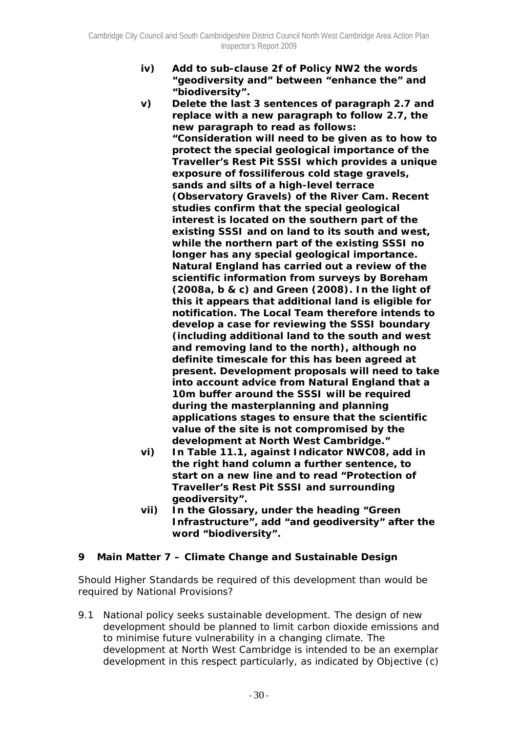**iv) Add to sub-clause 2f of Policy NW2 the words "geodiversity and" between "enhance the" and "biodiversity".** 

**v) Delete the last 3 sentences of paragraph 2.7 and replace with a new paragraph to follow 2.7, the new paragraph to read as follows: "Consideration will need to be given as to how to protect the special geological importance of the Traveller's Rest Pit SSSI which provides a unique exposure of fossiliferous cold stage gravels, sands and silts of a high-level terrace (Observatory Gravels) of the River Cam. Recent studies confirm that the special geological interest is located on the southern part of the existing SSSI and on land to its south and west, while the northern part of the existing SSSI no longer has any special geological importance. Natural England has carried out a review of the scientific information from surveys by Boreham (2008a, b & c) and Green (2008). In the light of this it appears that additional land is eligible for notification. The Local Team therefore intends to develop a case for reviewing the SSSI boundary (including additional land to the south and west and removing land to the north), although no definite timescale for this has been agreed at present. Development proposals will need to take into account advice from Natural England that a 10m buffer around the SSSI will be required during the masterplanning and planning applications stages to ensure that the scientific value of the site is not compromised by the development at North West Cambridge."** 

- **vi) In Table 11.1, against Indicator NWC08, add in the right hand column a further sentence, to start on a new line and to read "Protection of Traveller's Rest Pit SSSI and surrounding geodiversity".**
- **vii) In the Glossary, under the heading "Green Infrastructure", add "and geodiversity" after the word "biodiversity".**

## **9 Main Matter 7 – Climate Change and Sustainable Design**

*Should Higher Standards be required of this development than would be required by National Provisions?* 

9.1 National policy seeks sustainable development. The design of new development should be planned to limit carbon dioxide emissions and to minimise future vulnerability in a changing climate. The development at North West Cambridge is intended to be an exemplar development in this respect particularly, as indicated by Objective (c)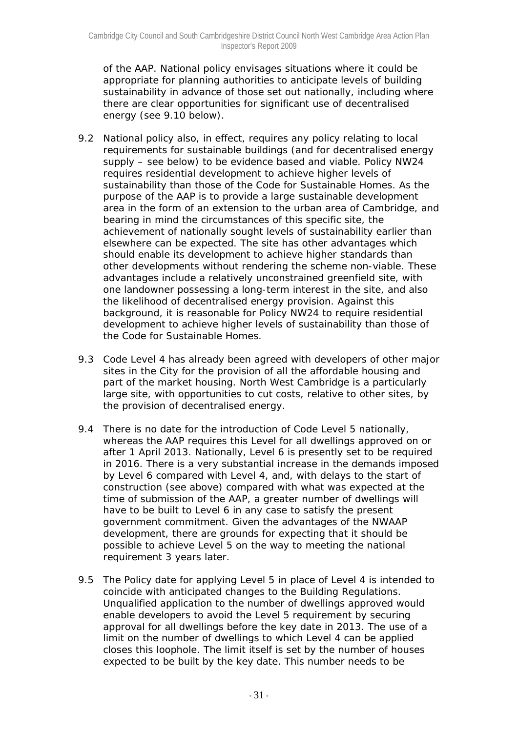of the AAP. National policy envisages situations where it could be appropriate for planning authorities to anticipate levels of building sustainability in advance of those set out nationally, including where there are clear opportunities for significant use of decentralised energy (see 9.10 below).

- 9.2 National policy also, in effect, requires any policy relating to local requirements for sustainable buildings (and for decentralised energy supply – see below) to be evidence based and viable. Policy NW24 requires residential development to achieve higher levels of sustainability than those of the Code for Sustainable Homes. As the purpose of the AAP is to provide a large sustainable development area in the form of an extension to the urban area of Cambridge, and bearing in mind the circumstances of this specific site, the achievement of nationally sought levels of sustainability earlier than elsewhere can be expected. The site has other advantages which should enable its development to achieve higher standards than other developments without rendering the scheme non-viable. These advantages include a relatively unconstrained greenfield site, with one landowner possessing a long-term interest in the site, and also the likelihood of decentralised energy provision. Against this background, it is reasonable for Policy NW24 to require residential development to achieve higher levels of sustainability than those of the Code for Sustainable Homes.
- 9.3 Code Level 4 has already been agreed with developers of other major sites in the City for the provision of all the affordable housing and part of the market housing. North West Cambridge is a particularly large site, with opportunities to cut costs, relative to other sites, by the provision of decentralised energy.
- 9.4 There is no date for the introduction of Code Level 5 nationally, whereas the AAP requires this Level for all dwellings approved on or after 1 April 2013. Nationally, Level 6 is presently set to be required in 2016. There is a very substantial increase in the demands imposed by Level 6 compared with Level 4, and, with delays to the start of construction (see above) compared with what was expected at the time of submission of the AAP, a greater number of dwellings will have to be built to Level 6 in any case to satisfy the present government commitment. Given the advantages of the NWAAP development, there are grounds for expecting that it should be possible to achieve Level 5 on the way to meeting the national requirement 3 years later.
- 9.5 The Policy date for applying Level 5 in place of Level 4 is intended to coincide with anticipated changes to the Building Regulations. Unqualified application to the number of dwellings approved would enable developers to avoid the Level 5 requirement by securing approval for all dwellings before the key date in 2013. The use of a limit on the number of dwellings to which Level 4 can be applied closes this loophole. The limit itself is set by the number of houses expected to be built by the key date. This number needs to be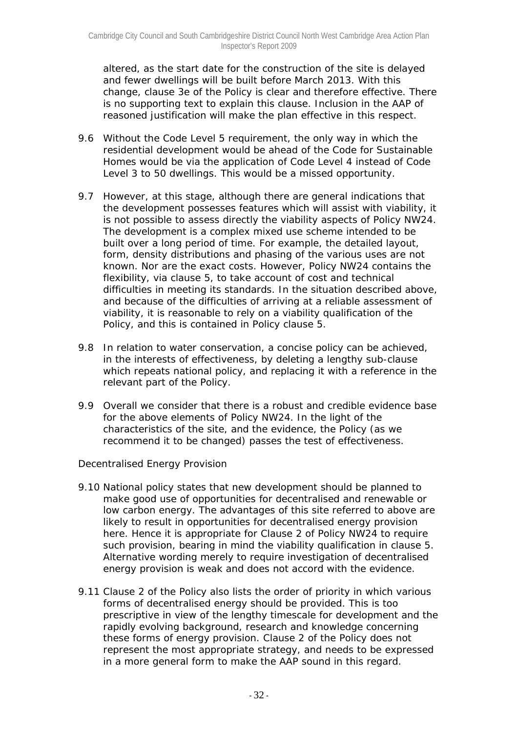altered, as the start date for the construction of the site is delayed and fewer dwellings will be built before March 2013. With this change, clause 3e of the Policy is clear and therefore effective. There is no supporting text to explain this clause. Inclusion in the AAP of reasoned justification will make the plan effective in this respect.

- 9.6 Without the Code Level 5 requirement, the only way in which the residential development would be ahead of the Code for Sustainable Homes would be via the application of Code Level 4 instead of Code Level 3 to 50 dwellings. This would be a missed opportunity.
- 9.7 However, at this stage, although there are general indications that the development possesses features which will assist with viability, it is not possible to assess directly the viability aspects of Policy NW24. The development is a complex mixed use scheme intended to be built over a long period of time. For example, the detailed layout, form, density distributions and phasing of the various uses are not known. Nor are the exact costs. However, Policy NW24 contains the flexibility, via clause 5, to take account of cost and technical difficulties in meeting its standards. In the situation described above, and because of the difficulties of arriving at a reliable assessment of viability, it is reasonable to rely on a viability qualification of the Policy, and this is contained in Policy clause 5.
- 9.8 In relation to water conservation, a concise policy can be achieved, in the interests of effectiveness, by deleting a lengthy sub-clause which repeats national policy, and replacing it with a reference in the relevant part of the Policy.
- 9.9 Overall we consider that there is a robust and credible evidence base for the above elements of Policy NW24. In the light of the characteristics of the site, and the evidence, the Policy (as we recommend it to be changed) passes the test of effectiveness.

## *Decentralised Energy Provision*

- 9.10 National policy states that new development should be planned to make good use of opportunities for decentralised and renewable or low carbon energy. The advantages of this site referred to above are likely to result in opportunities for decentralised energy provision here. Hence it is appropriate for Clause 2 of Policy NW24 to require such provision, bearing in mind the viability qualification in clause 5. Alternative wording merely to require investigation of decentralised energy provision is weak and does not accord with the evidence.
- 9.11 Clause 2 of the Policy also lists the order of priority in which various forms of decentralised energy should be provided. This is too prescriptive in view of the lengthy timescale for development and the rapidly evolving background, research and knowledge concerning these forms of energy provision. Clause 2 of the Policy does not represent the most appropriate strategy, and needs to be expressed in a more general form to make the AAP sound in this regard.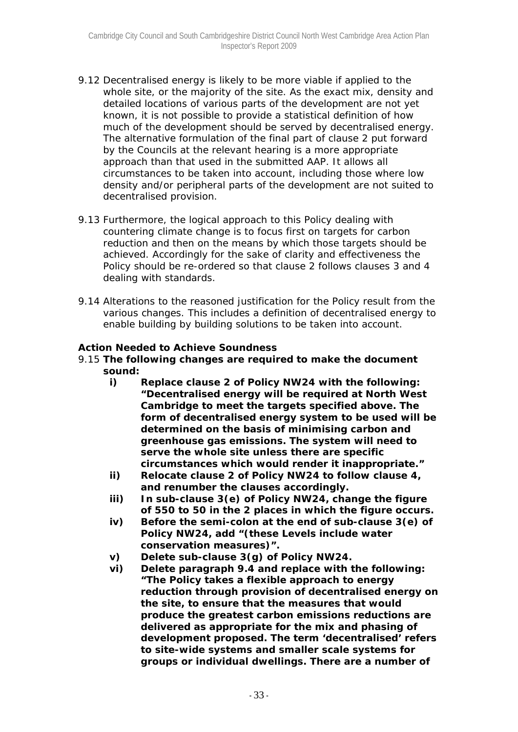- 9.12 Decentralised energy is likely to be more viable if applied to the whole site, or the majority of the site. As the exact mix, density and detailed locations of various parts of the development are not yet known, it is not possible to provide a statistical definition of how much of the development should be served by decentralised energy. The alternative formulation of the final part of clause 2 put forward by the Councils at the relevant hearing is a more appropriate approach than that used in the submitted AAP. It allows all circumstances to be taken into account, including those where low density and/or peripheral parts of the development are not suited to decentralised provision.
- 9.13 Furthermore, the logical approach to this Policy dealing with countering climate change is to focus first on targets for carbon reduction and then on the means by which those targets should be achieved. Accordingly for the sake of clarity and effectiveness the Policy should be re-ordered so that clause 2 follows clauses 3 and 4 dealing with standards.
- 9.14 Alterations to the reasoned justification for the Policy result from the various changes. This includes a definition of decentralised energy to enable building by building solutions to be taken into account.

#### *Action Needed to Achieve Soundness*

- 9.15 **The following changes are required to make the document sound:** 
	- **i) Replace clause 2 of Policy NW24 with the following: "Decentralised energy will be required at North West Cambridge to meet the targets specified above. The form of decentralised energy system to be used will be determined on the basis of minimising carbon and greenhouse gas emissions. The system will need to serve the whole site unless there are specific circumstances which would render it inappropriate."**
	- **ii) Relocate clause 2 of Policy NW24 to follow clause 4, and renumber the clauses accordingly.**
	- **iii) In sub-clause 3(e) of Policy NW24, change the figure of 550 to 50 in the 2 places in which the figure occurs.**
	- **iv) Before the semi-colon at the end of sub-clause 3(e) of Policy NW24, add "(these Levels include water conservation measures)".**
	- **v) Delete sub-clause 3(g) of Policy NW24.**
	- **vi) Delete paragraph 9.4 and replace with the following: "The Policy takes a flexible approach to energy reduction through provision of decentralised energy on the site, to ensure that the measures that would produce the greatest carbon emissions reductions are delivered as appropriate for the mix and phasing of development proposed. The term 'decentralised' refers to site-wide systems and smaller scale systems for groups or individual dwellings. There are a number of**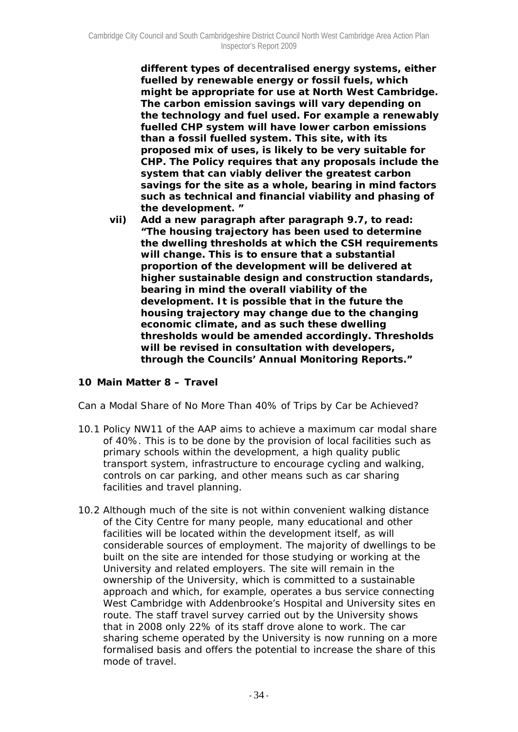**different types of decentralised energy systems, either fuelled by renewable energy or fossil fuels, which might be appropriate for use at North West Cambridge. The carbon emission savings will vary depending on the technology and fuel used. For example a renewably fuelled CHP system will have lower carbon emissions than a fossil fuelled system. This site, with its proposed mix of uses, is likely to be very suitable for CHP. The Policy requires that any proposals include the system that can viably deliver the greatest carbon savings for the site as a whole, bearing in mind factors such as technical and financial viability and phasing of the development. "** 

**vii) Add a new paragraph after paragraph 9.7, to read: "The housing trajectory has been used to determine the dwelling thresholds at which the CSH requirements will change. This is to ensure that a substantial proportion of the development will be delivered at higher sustainable design and construction standards, bearing in mind the overall viability of the development. It is possible that in the future the housing trajectory may change due to the changing economic climate, and as such these dwelling thresholds would be amended accordingly. Thresholds will be revised in consultation with developers, through the Councils' Annual Monitoring Reports."** 

## **10 Main Matter 8 – Travel**

#### *Can a Modal Share of No More Than 40% of Trips by Car be Achieved?*

- 10.1 Policy NW11 of the AAP aims to achieve a maximum car modal share of 40%. This is to be done by the provision of local facilities such as primary schools within the development, a high quality public transport system, infrastructure to encourage cycling and walking, controls on car parking, and other means such as car sharing facilities and travel planning.
- 10.2 Although much of the site is not within convenient walking distance of the City Centre for many people, many educational and other facilities will be located within the development itself, as will considerable sources of employment. The majority of dwellings to be built on the site are intended for those studying or working at the University and related employers. The site will remain in the ownership of the University, which is committed to a sustainable approach and which, for example, operates a bus service connecting West Cambridge with Addenbrooke's Hospital and University sites *en route.* The staff travel survey carried out by the University shows that in 2008 only 22% of its staff drove alone to work. The car sharing scheme operated by the University is now running on a more formalised basis and offers the potential to increase the share of this mode of travel.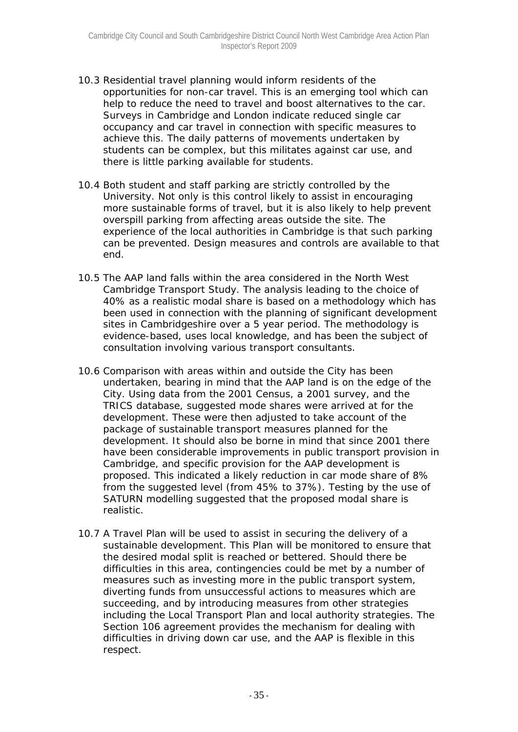- 10.3 Residential travel planning would inform residents of the opportunities for non-car travel. This is an emerging tool which can help to reduce the need to travel and boost alternatives to the car. Surveys in Cambridge and London indicate reduced single car occupancy and car travel in connection with specific measures to achieve this. The daily patterns of movements undertaken by students can be complex, but this militates against car use, and there is little parking available for students.
- 10.4 Both student and staff parking are strictly controlled by the University. Not only is this control likely to assist in encouraging more sustainable forms of travel, but it is also likely to help prevent overspill parking from affecting areas outside the site. The experience of the local authorities in Cambridge is that such parking can be prevented. Design measures and controls are available to that end.
- 10.5 The AAP land falls within the area considered in the North West Cambridge Transport Study. The analysis leading to the choice of 40% as a realistic modal share is based on a methodology which has been used in connection with the planning of significant development sites in Cambridgeshire over a 5 year period. The methodology is evidence-based, uses local knowledge, and has been the subject of consultation involving various transport consultants.
- 10.6 Comparison with areas within and outside the City has been undertaken, bearing in mind that the AAP land is on the edge of the City. Using data from the 2001 Census, a 2001 survey, and the TRICS database, suggested mode shares were arrived at for the development. These were then adjusted to take account of the package of sustainable transport measures planned for the development. It should also be borne in mind that since 2001 there have been considerable improvements in public transport provision in Cambridge, and specific provision for the AAP development is proposed. This indicated a likely reduction in car mode share of 8% from the suggested level (from 45% to 37%). Testing by the use of SATURN modelling suggested that the proposed modal share is realistic.
- 10.7 A Travel Plan will be used to assist in securing the delivery of a sustainable development. This Plan will be monitored to ensure that the desired modal split is reached or bettered. Should there be difficulties in this area, contingencies could be met by a number of measures such as investing more in the public transport system, diverting funds from unsuccessful actions to measures which are succeeding, and by introducing measures from other strategies including the Local Transport Plan and local authority strategies. The Section 106 agreement provides the mechanism for dealing with difficulties in driving down car use, and the AAP is flexible in this respect.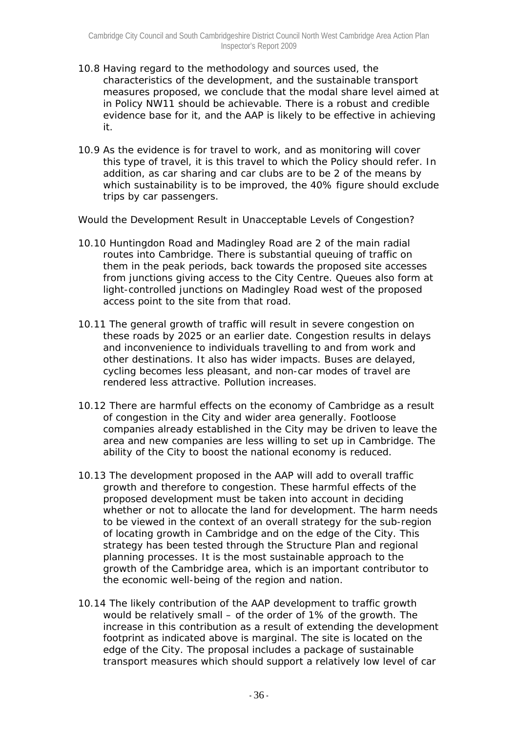- 10.8 Having regard to the methodology and sources used, the characteristics of the development, and the sustainable transport measures proposed, we conclude that the modal share level aimed at in Policy NW11 should be achievable. There is a robust and credible evidence base for it, and the AAP is likely to be effective in achieving it.
- 10.9 As the evidence is for travel to work, and as monitoring will cover this type of travel, it is this travel to which the Policy should refer. In addition, as car sharing and car clubs are to be 2 of the means by which sustainability is to be improved, the 40% figure should exclude trips by car passengers.

#### *Would the Development Result in Unacceptable Levels of Congestion?*

- 10.10 Huntingdon Road and Madingley Road are 2 of the main radial routes into Cambridge. There is substantial queuing of traffic on them in the peak periods, back towards the proposed site accesses from junctions giving access to the City Centre. Queues also form at light-controlled junctions on Madingley Road west of the proposed access point to the site from that road.
- 10.11 The general growth of traffic will result in severe congestion on these roads by 2025 or an earlier date. Congestion results in delays and inconvenience to individuals travelling to and from work and other destinations. It also has wider impacts. Buses are delayed, cycling becomes less pleasant, and non-car modes of travel are rendered less attractive. Pollution increases.
- 10.12 There are harmful effects on the economy of Cambridge as a result of congestion in the City and wider area generally. Footloose companies already established in the City may be driven to leave the area and new companies are less willing to set up in Cambridge. The ability of the City to boost the national economy is reduced.
- 10.13 The development proposed in the AAP will add to overall traffic growth and therefore to congestion. These harmful effects of the proposed development must be taken into account in deciding whether or not to allocate the land for development. The harm needs to be viewed in the context of an overall strategy for the sub-region of locating growth in Cambridge and on the edge of the City. This strategy has been tested through the Structure Plan and regional planning processes. It is the most sustainable approach to the growth of the Cambridge area, which is an important contributor to the economic well-being of the region and nation.
- 10.14 The likely contribution of the AAP development to traffic growth would be relatively small – of the order of 1% of the growth. The increase in this contribution as a result of extending the development footprint as indicated above is marginal. The site is located on the edge of the City. The proposal includes a package of sustainable transport measures which should support a relatively low level of car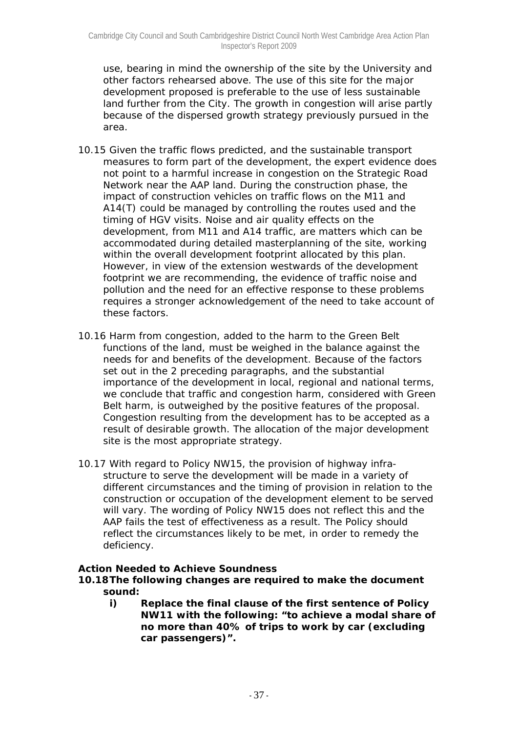use, bearing in mind the ownership of the site by the University and other factors rehearsed above. The use of this site for the major development proposed is preferable to the use of less sustainable land further from the City. The growth in congestion will arise partly because of the dispersed growth strategy previously pursued in the area.

- 10.15 Given the traffic flows predicted, and the sustainable transport measures to form part of the development, the expert evidence does not point to a harmful increase in congestion on the Strategic Road Network near the AAP land. During the construction phase, the impact of construction vehicles on traffic flows on the M11 and A14(T) could be managed by controlling the routes used and the timing of HGV visits. Noise and air quality effects on the development, from M11 and A14 traffic, are matters which can be accommodated during detailed masterplanning of the site, working within the overall development footprint allocated by this plan. However, in view of the extension westwards of the development footprint we are recommending, the evidence of traffic noise and pollution and the need for an effective response to these problems requires a stronger acknowledgement of the need to take account of these factors.
- 10.16 Harm from congestion, added to the harm to the Green Belt functions of the land, must be weighed in the balance against the needs for and benefits of the development. Because of the factors set out in the 2 preceding paragraphs, and the substantial importance of the development in local, regional and national terms, we conclude that traffic and congestion harm, considered with Green Belt harm, is outweighed by the positive features of the proposal. Congestion resulting from the development has to be accepted as a result of desirable growth. The allocation of the major development site is the most appropriate strategy.
- 10.17 With regard to Policy NW15, the provision of highway infrastructure to serve the development will be made in a variety of different circumstances and the timing of provision in relation to the construction or occupation of the development element to be served will vary. The wording of Policy NW15 does not reflect this and the AAP fails the test of effectiveness as a result. The Policy should reflect the circumstances likely to be met, in order to remedy the deficiency.

## *Action Needed to Achieve Soundness*

- **10.18 The following changes are required to make the document sound:** 
	- **i) Replace the final clause of the first sentence of Policy NW11 with the following: "to achieve a modal share of no more than 40% of trips to work by car (excluding car passengers)".**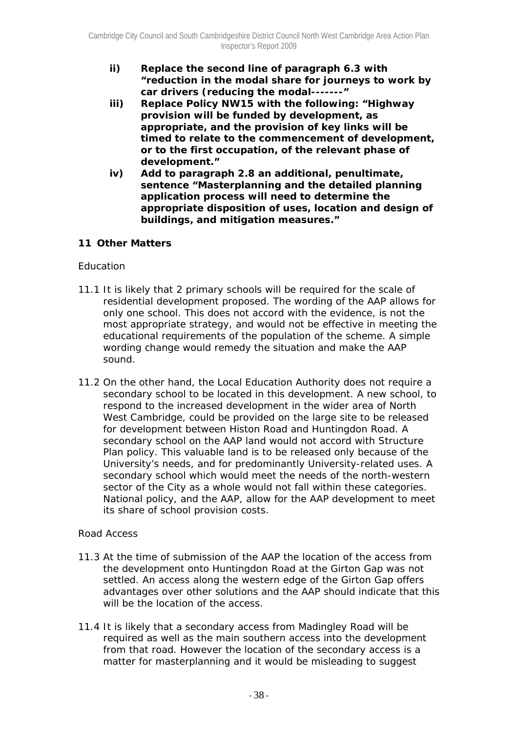- **ii) Replace the second line of paragraph 6.3 with "reduction in the modal share for journeys to work by car drivers (reducing the modal-------"**
- **iii) Replace Policy NW15 with the following: "Highway provision will be funded by development, as appropriate, and the provision of key links will be timed to relate to the commencement of development, or to the first occupation, of the relevant phase of development."**
- **iv) Add to paragraph 2.8 an additional, penultimate, sentence "Masterplanning and the detailed planning application process will need to determine the appropriate disposition of uses, location and design of buildings, and mitigation measures."**

# **11 Other Matters**

## *Education*

- 11.1 It is likely that 2 primary schools will be required for the scale of residential development proposed. The wording of the AAP allows for only one school. This does not accord with the evidence, is not the most appropriate strategy, and would not be effective in meeting the educational requirements of the population of the scheme. A simple wording change would remedy the situation and make the AAP sound.
- 11.2 On the other hand, the Local Education Authority does not require a secondary school to be located in this development. A new school, to respond to the increased development in the wider area of North West Cambridge, could be provided on the large site to be released for development between Histon Road and Huntingdon Road. A secondary school on the AAP land would not accord with Structure Plan policy. This valuable land is to be released only because of the University's needs, and for predominantly University-related uses. A secondary school which would meet the needs of the north-western sector of the City as a whole would not fall within these categories. National policy, and the AAP, allow for the AAP development to meet its share of school provision costs.

## *Road Access*

- 11.3 At the time of submission of the AAP the location of the access from the development onto Huntingdon Road at the Girton Gap was not settled. An access along the western edge of the Girton Gap offers advantages over other solutions and the AAP should indicate that this will be the location of the access.
- 11.4 It is likely that a secondary access from Madingley Road will be required as well as the main southern access into the development from that road. However the location of the secondary access is a matter for masterplanning and it would be misleading to suggest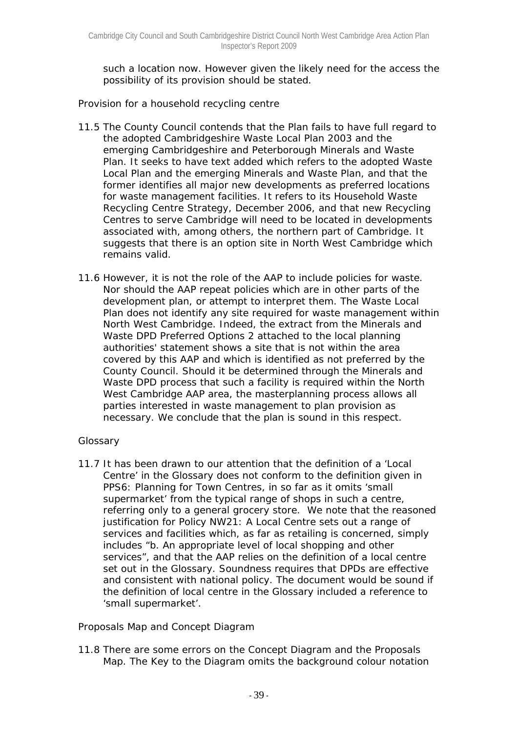such a location now. However given the likely need for the access the possibility of its provision should be stated.

## *Provision for a household recycling centre*

- 11.5 The County Council contends that the Plan fails to have full regard to the adopted Cambridgeshire Waste Local Plan 2003 and the emerging Cambridgeshire and Peterborough Minerals and Waste Plan. It seeks to have text added which refers to the adopted Waste Local Plan and the emerging Minerals and Waste Plan, and that the former identifies all major new developments as preferred locations for waste management facilities. It refers to its Household Waste Recycling Centre Strategy, December 2006, and that new Recycling Centres to serve Cambridge will need to be located in developments associated with, among others, the northern part of Cambridge. It suggests that there is an option site in North West Cambridge which remains valid.
- 11.6 However, it is not the role of the AAP to include policies for waste. Nor should the AAP repeat policies which are in other parts of the development plan, or attempt to interpret them. The Waste Local Plan does not identify any site required for waste management within North West Cambridge. Indeed, the extract from the Minerals and Waste DPD Preferred Options 2 attached to the local planning authorities' statement shows a site that is not within the area covered by this AAP and which is identified as not preferred by the County Council. Should it be determined through the Minerals and Waste DPD process that such a facility is required within the North West Cambridge AAP area, the masterplanning process allows all parties interested in waste management to plan provision as necessary. We conclude that the plan is sound in this respect.

## *Glossary*

11.7 It has been drawn to our attention that the definition of a 'Local Centre' in the Glossary does not conform to the definition given in PPS6: Planning for Town Centres, in so far as it omits 'small supermarket' from the typical range of shops in such a centre, referring only to a general grocery store. We note that the reasoned justification for Policy NW21: A Local Centre sets out a range of services and facilities which, as far as retailing is concerned, simply includes "b. An appropriate level of local shopping and other services", and that the AAP relies on the definition of a local centre set out in the Glossary. Soundness requires that DPDs are effective and consistent with national policy. The document would be sound if the definition of local centre in the Glossary included a reference to 'small supermarket'.

## *Proposals Map and Concept Diagram*

11.8 There are some errors on the Concept Diagram and the Proposals Map. The Key to the Diagram omits the background colour notation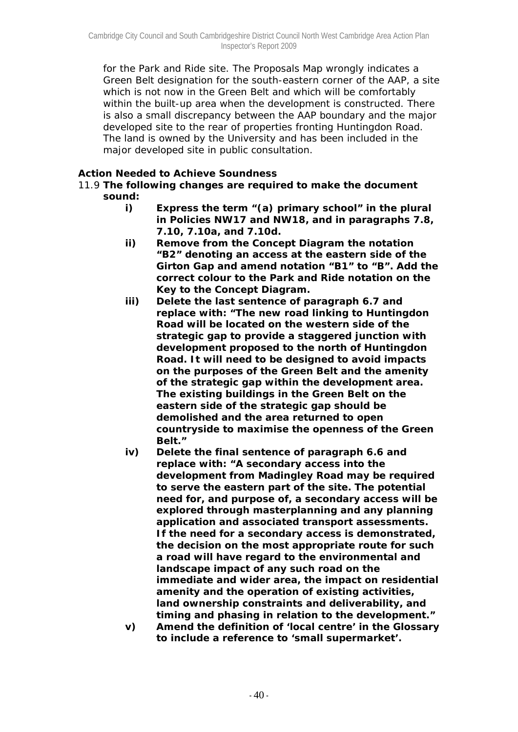for the Park and Ride site. The Proposals Map wrongly indicates a Green Belt designation for the south-eastern corner of the AAP, a site which is not now in the Green Belt and which will be comfortably within the built-up area when the development is constructed. There is also a small discrepancy between the AAP boundary and the major developed site to the rear of properties fronting Huntingdon Road. The land is owned by the University and has been included in the major developed site in public consultation.

#### *Action Needed to Achieve Soundness*

- 11.9 **The following changes are required to make the document sound:** 
	- **i) Express the term "(a) primary school" in the plural in Policies NW17 and NW18, and in paragraphs 7.8, 7.10, 7.10a, and 7.10d.**
	- **ii) Remove from the Concept Diagram the notation "B2" denoting an access at the eastern side of the Girton Gap and amend notation "B1" to "B". Add the correct colour to the Park and Ride notation on the Key to the Concept Diagram.**
	- **iii) Delete the last sentence of paragraph 6.7 and replace with: "The new road linking to Huntingdon Road will be located on the western side of the strategic gap to provide a staggered junction with development proposed to the north of Huntingdon Road. It will need to be designed to avoid impacts on the purposes of the Green Belt and the amenity of the strategic gap within the development area. The existing buildings in the Green Belt on the eastern side of the strategic gap should be demolished and the area returned to open countryside to maximise the openness of the Green Belt."**
	- **iv) Delete the final sentence of paragraph 6.6 and replace with: "A secondary access into the development from Madingley Road may be required to serve the eastern part of the site. The potential need for, and purpose of, a secondary access will be explored through masterplanning and any planning application and associated transport assessments. If the need for a secondary access is demonstrated, the decision on the most appropriate route for such a road will have regard to the environmental and landscape impact of any such road on the immediate and wider area, the impact on residential amenity and the operation of existing activities, land ownership constraints and deliverability, and timing and phasing in relation to the development."**
	- **v) Amend the definition of 'local centre' in the Glossary to include a reference to 'small supermarket'.**